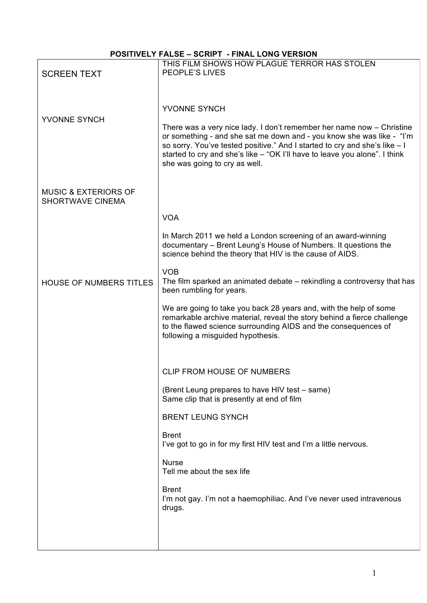# **POSITIVELY FALSE – SCRIPT - FINAL LONG VERSION**

|                                                            | THIS FILM SHOWS HOW PLAGUE TERROR HAS STOLEN<br>PEOPLE'S LIVES                                                                                                                                                                                                                                                                              |
|------------------------------------------------------------|---------------------------------------------------------------------------------------------------------------------------------------------------------------------------------------------------------------------------------------------------------------------------------------------------------------------------------------------|
| <b>SCREEN TEXT</b>                                         |                                                                                                                                                                                                                                                                                                                                             |
|                                                            |                                                                                                                                                                                                                                                                                                                                             |
| YVONNE SYNCH                                               | YVONNE SYNCH                                                                                                                                                                                                                                                                                                                                |
|                                                            | There was a very nice lady. I don't remember her name now - Christine<br>or something - and she sat me down and - you know she was like - "I'm<br>so sorry. You've tested positive." And I started to cry and she's like - I<br>started to cry and she's like – "OK I'll have to leave you alone". I think<br>she was going to cry as well. |
| <b>MUSIC &amp; EXTERIORS OF</b><br><b>SHORTWAVE CINEMA</b> |                                                                                                                                                                                                                                                                                                                                             |
|                                                            | <b>VOA</b>                                                                                                                                                                                                                                                                                                                                  |
|                                                            | In March 2011 we held a London screening of an award-winning<br>documentary - Brent Leung's House of Numbers. It questions the<br>science behind the theory that HIV is the cause of AIDS.                                                                                                                                                  |
| <b>HOUSE OF NUMBERS TITLES</b>                             | <b>VOB</b><br>The film sparked an animated debate – rekindling a controversy that has<br>been rumbling for years.                                                                                                                                                                                                                           |
|                                                            | We are going to take you back 28 years and, with the help of some<br>remarkable archive material, reveal the story behind a fierce challenge<br>to the flawed science surrounding AIDS and the consequences of<br>following a misguided hypothesis.                                                                                         |
|                                                            |                                                                                                                                                                                                                                                                                                                                             |
|                                                            | <b>CLIP FROM HOUSE OF NUMBERS</b>                                                                                                                                                                                                                                                                                                           |
|                                                            | (Brent Leung prepares to have HIV test – same)<br>Same clip that is presently at end of film                                                                                                                                                                                                                                                |
|                                                            | <b>BRENT LEUNG SYNCH</b>                                                                                                                                                                                                                                                                                                                    |
|                                                            | <b>Brent</b><br>I've got to go in for my first HIV test and I'm a little nervous.                                                                                                                                                                                                                                                           |
|                                                            | <b>Nurse</b><br>Tell me about the sex life                                                                                                                                                                                                                                                                                                  |
|                                                            | <b>Brent</b><br>I'm not gay. I'm not a haemophiliac. And I've never used intravenous<br>drugs.                                                                                                                                                                                                                                              |
|                                                            |                                                                                                                                                                                                                                                                                                                                             |
|                                                            |                                                                                                                                                                                                                                                                                                                                             |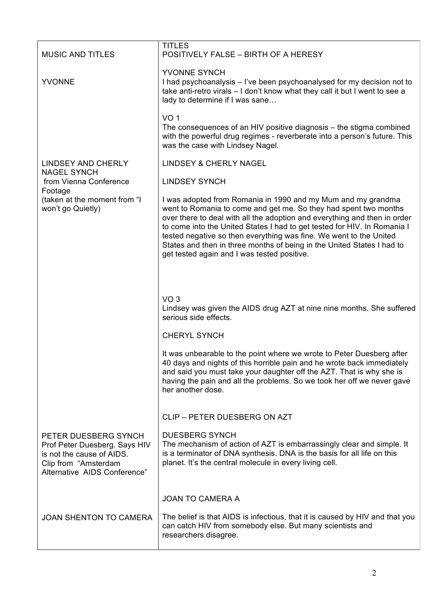| <b>MUSIC AND TITLES</b>                                                                                                                    | <b>TITLES</b><br>POSITIVELY FALSE - BIRTH OF A HERESY                                                                                                                                                                                                                                                                                                                                                                                                                                    |
|--------------------------------------------------------------------------------------------------------------------------------------------|------------------------------------------------------------------------------------------------------------------------------------------------------------------------------------------------------------------------------------------------------------------------------------------------------------------------------------------------------------------------------------------------------------------------------------------------------------------------------------------|
| <b>YVONNE</b>                                                                                                                              | YVONNE SYNCH<br>I had psychoanalysis – I've been psychoanalysed for my decision not to<br>take anti-retro virals - I don't know what they call it but I went to see a<br>lady to determine if I was sane                                                                                                                                                                                                                                                                                 |
|                                                                                                                                            | VO <sub>1</sub><br>The consequences of an HIV positive diagnosis – the stigma combined<br>with the powerful drug regimes - reverberate into a person's future. This<br>was the case with Lindsey Nagel.                                                                                                                                                                                                                                                                                  |
| <b>LINDSEY AND CHERLY</b><br><b>NAGEL SYNCH</b>                                                                                            | <b>LINDSEY &amp; CHERLY NAGEL</b>                                                                                                                                                                                                                                                                                                                                                                                                                                                        |
| from Vienna Conference                                                                                                                     | <b>LINDSEY SYNCH</b>                                                                                                                                                                                                                                                                                                                                                                                                                                                                     |
| Footage<br>(taken at the moment from "I<br>won't go Quietly)                                                                               | I was adopted from Romania in 1990 and my Mum and my grandma<br>went to Romania to come and get me. So they had spent two months<br>over there to deal with all the adoption and everything and then in order<br>to come into the United States I had to get tested for HIV. In Romania I<br>tested negative so then everything was fine. We went to the United<br>States and then in three months of being in the United States I had to<br>get tested again and I was tested positive. |
|                                                                                                                                            |                                                                                                                                                                                                                                                                                                                                                                                                                                                                                          |
|                                                                                                                                            |                                                                                                                                                                                                                                                                                                                                                                                                                                                                                          |
|                                                                                                                                            | VO <sub>3</sub><br>Lindsey was given the AIDS drug AZT at nine nine months. She suffered<br>serious side effects.                                                                                                                                                                                                                                                                                                                                                                        |
|                                                                                                                                            | <b>CHERYL SYNCH</b>                                                                                                                                                                                                                                                                                                                                                                                                                                                                      |
|                                                                                                                                            | It was unbearable to the point where we wrote to Peter Duesberg after<br>40 days and nights of this horrible pain and he wrote back immediately<br>and said you must take your daughter off the AZT. That is why she is<br>having the pain and all the problems. So we took her off we never gave<br>her another dose.                                                                                                                                                                   |
|                                                                                                                                            | CLIP - PETER DUESBERG ON AZT                                                                                                                                                                                                                                                                                                                                                                                                                                                             |
| PETER DUESBERG SYNCH<br>Prof Peter Duesberg. Says HIV<br>is not the cause of AIDS.<br>Clip from "Amsterdam<br>Alternative AIDS Conference" | <b>DUESBERG SYNCH</b><br>The mechanism of action of AZT is embarrassingly clear and simple. It<br>is a terminator of DNA synthesis. DNA is the basis for all life on this<br>planet. It's the central molecule in every living cell.                                                                                                                                                                                                                                                     |
|                                                                                                                                            | <b>JOAN TO CAMERA A</b>                                                                                                                                                                                                                                                                                                                                                                                                                                                                  |
| <b>JOAN SHENTON TO CAMERA</b>                                                                                                              | The belief is that AIDS is infectious, that it is caused by HIV and that you<br>can catch HIV from somebody else. But many scientists and<br>researchers disagree.                                                                                                                                                                                                                                                                                                                       |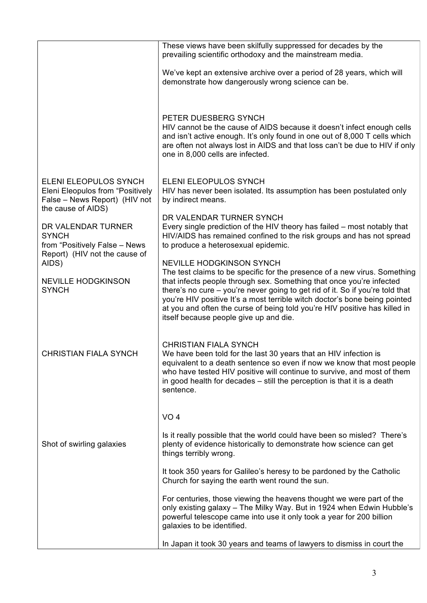|                                                                                                                  | These views have been skilfully suppressed for decades by the<br>prevailing scientific orthodoxy and the mainstream media.                                                                                                                                                                                                                                                                                                               |
|------------------------------------------------------------------------------------------------------------------|------------------------------------------------------------------------------------------------------------------------------------------------------------------------------------------------------------------------------------------------------------------------------------------------------------------------------------------------------------------------------------------------------------------------------------------|
|                                                                                                                  | We've kept an extensive archive over a period of 28 years, which will<br>demonstrate how dangerously wrong science can be.                                                                                                                                                                                                                                                                                                               |
|                                                                                                                  | PETER DUESBERG SYNCH<br>HIV cannot be the cause of AIDS because it doesn't infect enough cells<br>and isn't active enough. It's only found in one out of 8,000 T cells which<br>are often not always lost in AIDS and that loss can't be due to HIV if only<br>one in 8,000 cells are infected.                                                                                                                                          |
| ELENI ELEOPULOS SYNCH<br>Eleni Eleopulos from "Positively<br>False - News Report) (HIV not<br>the cause of AIDS) | <b>ELENI ELEOPULOS SYNCH</b><br>HIV has never been isolated. Its assumption has been postulated only<br>by indirect means.                                                                                                                                                                                                                                                                                                               |
| DR VALENDAR TURNER<br><b>SYNCH</b><br>from "Positively False - News                                              | DR VALENDAR TURNER SYNCH<br>Every single prediction of the HIV theory has failed – most notably that<br>HIV/AIDS has remained confined to the risk groups and has not spread<br>to produce a heterosexual epidemic.                                                                                                                                                                                                                      |
| Report) (HIV not the cause of<br>AIDS)                                                                           | <b>NEVILLE HODGKINSON SYNCH</b>                                                                                                                                                                                                                                                                                                                                                                                                          |
| <b>NEVILLE HODGKINSON</b><br><b>SYNCH</b>                                                                        | The test claims to be specific for the presence of a new virus. Something<br>that infects people through sex. Something that once you're infected<br>there's no cure - you're never going to get rid of it. So if you're told that<br>you're HIV positive It's a most terrible witch doctor's bone being pointed<br>at you and often the curse of being told you're HIV positive has killed in<br>itself because people give up and die. |
| <b>CHRISTIAN FIALA SYNCH</b>                                                                                     | <b>CHRISTIAN FIALA SYNCH</b><br>We have been told for the last 30 years that an HIV infection is<br>equivalent to a death sentence so even if now we know that most people<br>who have tested HIV positive will continue to survive, and most of them<br>in good health for decades – still the perception is that it is a death<br>sentence.                                                                                            |
|                                                                                                                  | VO <sub>4</sub>                                                                                                                                                                                                                                                                                                                                                                                                                          |
| Shot of swirling galaxies                                                                                        | Is it really possible that the world could have been so misled? There's<br>plenty of evidence historically to demonstrate how science can get<br>things terribly wrong.                                                                                                                                                                                                                                                                  |
|                                                                                                                  | It took 350 years for Galileo's heresy to be pardoned by the Catholic<br>Church for saying the earth went round the sun.                                                                                                                                                                                                                                                                                                                 |
|                                                                                                                  | For centuries, those viewing the heavens thought we were part of the<br>only existing galaxy - The Milky Way. But in 1924 when Edwin Hubble's<br>powerful telescope came into use it only took a year for 200 billion<br>galaxies to be identified.                                                                                                                                                                                      |
|                                                                                                                  | In Japan it took 30 years and teams of lawyers to dismiss in court the                                                                                                                                                                                                                                                                                                                                                                   |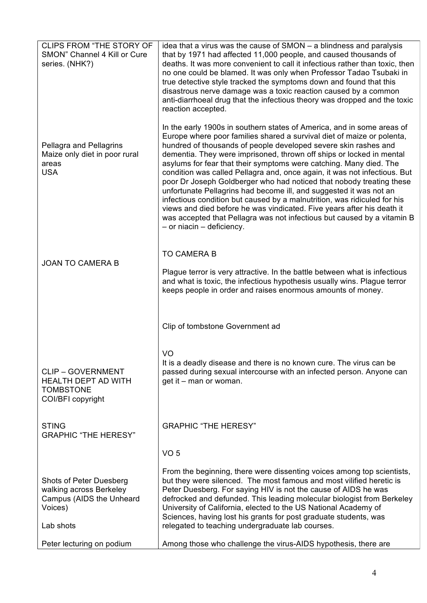| <b>CLIPS FROM "THE STORY OF</b><br>SMON" Channel 4 Kill or Cure<br>series. (NHK?)                      | idea that a virus was the cause of SMON – a blindness and paralysis<br>that by 1971 had affected 11,000 people, and caused thousands of<br>deaths. It was more convenient to call it infectious rather than toxic, then<br>no one could be blamed. It was only when Professor Tadao Tsubaki in<br>true detective style tracked the symptoms down and found that this<br>disastrous nerve damage was a toxic reaction caused by a common<br>anti-diarrhoeal drug that the infectious theory was dropped and the toxic<br>reaction accepted.                                                                                                                                                                                                                                                                                                                     |
|--------------------------------------------------------------------------------------------------------|----------------------------------------------------------------------------------------------------------------------------------------------------------------------------------------------------------------------------------------------------------------------------------------------------------------------------------------------------------------------------------------------------------------------------------------------------------------------------------------------------------------------------------------------------------------------------------------------------------------------------------------------------------------------------------------------------------------------------------------------------------------------------------------------------------------------------------------------------------------|
| Pellagra and Pellagrins<br>Maize only diet in poor rural<br>areas<br><b>USA</b>                        | In the early 1900s in southern states of America, and in some areas of<br>Europe where poor families shared a survival diet of maize or polenta,<br>hundred of thousands of people developed severe skin rashes and<br>dementia. They were imprisoned, thrown off ships or locked in mental<br>asylums for fear that their symptoms were catching. Many died. The<br>condition was called Pellagra and, once again, it was not infectious. But<br>poor Dr Joseph Goldberger who had noticed that nobody treating these<br>unfortunate Pellagrins had become ill, and suggested it was not an<br>infectious condition but caused by a malnutrition, was ridiculed for his<br>views and died before he was vindicated. Five years after his death it<br>was accepted that Pellagra was not infectious but caused by a vitamin B<br>$-$ or niacin $-$ deficiency. |
| <b>JOAN TO CAMERA B</b>                                                                                | <b>TO CAMERA B</b><br>Plague terror is very attractive. In the battle between what is infectious<br>and what is toxic, the infectious hypothesis usually wins. Plague terror<br>keeps people in order and raises enormous amounts of money.                                                                                                                                                                                                                                                                                                                                                                                                                                                                                                                                                                                                                    |
|                                                                                                        | Clip of tombstone Government ad                                                                                                                                                                                                                                                                                                                                                                                                                                                                                                                                                                                                                                                                                                                                                                                                                                |
| <b>CLIP - GOVERNMENT</b><br><b>HEALTH DEPT AD WITH</b><br><b>TOMBSTONE</b><br>COI/BFI copyright        | VO<br>It is a deadly disease and there is no known cure. The virus can be<br>passed during sexual intercourse with an infected person. Anyone can<br>get it – man or woman.                                                                                                                                                                                                                                                                                                                                                                                                                                                                                                                                                                                                                                                                                    |
| <b>STING</b><br><b>GRAPHIC "THE HERESY"</b>                                                            | <b>GRAPHIC "THE HERESY"</b>                                                                                                                                                                                                                                                                                                                                                                                                                                                                                                                                                                                                                                                                                                                                                                                                                                    |
|                                                                                                        | VO <sub>5</sub>                                                                                                                                                                                                                                                                                                                                                                                                                                                                                                                                                                                                                                                                                                                                                                                                                                                |
| Shots of Peter Duesberg<br>walking across Berkeley<br>Campus (AIDS the Unheard<br>Voices)<br>Lab shots | From the beginning, there were dissenting voices among top scientists,<br>but they were silenced. The most famous and most vilified heretic is<br>Peter Duesberg. For saying HIV is not the cause of AIDS he was<br>defrocked and defunded. This leading molecular biologist from Berkeley<br>University of California, elected to the US National Academy of<br>Sciences, having lost his grants for post graduate students, was<br>relegated to teaching undergraduate lab courses.                                                                                                                                                                                                                                                                                                                                                                          |
| Peter lecturing on podium                                                                              | Among those who challenge the virus-AIDS hypothesis, there are                                                                                                                                                                                                                                                                                                                                                                                                                                                                                                                                                                                                                                                                                                                                                                                                 |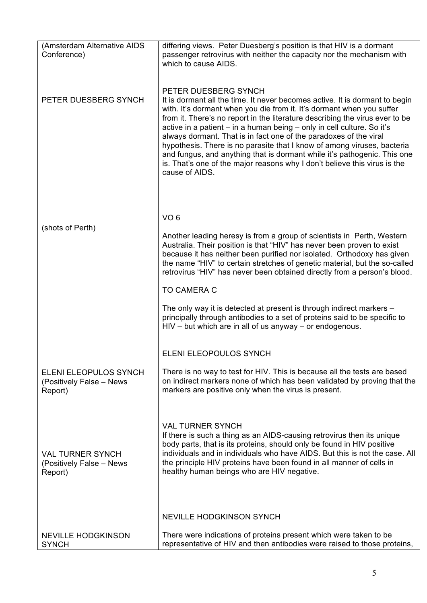| (Amsterdam Alternative AIDS<br>Conference)                     | differing views. Peter Duesberg's position is that HIV is a dormant<br>passenger retrovirus with neither the capacity nor the mechanism with<br>which to cause AIDS.                                                                                                                                                                                                                                                                                                                                                                                                                                                                                              |
|----------------------------------------------------------------|-------------------------------------------------------------------------------------------------------------------------------------------------------------------------------------------------------------------------------------------------------------------------------------------------------------------------------------------------------------------------------------------------------------------------------------------------------------------------------------------------------------------------------------------------------------------------------------------------------------------------------------------------------------------|
| PETER DUESBERG SYNCH                                           | PETER DUESBERG SYNCH<br>It is dormant all the time. It never becomes active. It is dormant to begin<br>with. It's dormant when you die from it. It's dormant when you suffer<br>from it. There's no report in the literature describing the virus ever to be<br>active in a patient - in a human being - only in cell culture. So it's<br>always dormant. That is in fact one of the paradoxes of the viral<br>hypothesis. There is no parasite that I know of among viruses, bacteria<br>and fungus, and anything that is dormant while it's pathogenic. This one<br>is. That's one of the major reasons why I don't believe this virus is the<br>cause of AIDS. |
|                                                                | VO <sub>6</sub>                                                                                                                                                                                                                                                                                                                                                                                                                                                                                                                                                                                                                                                   |
| (shots of Perth)                                               | Another leading heresy is from a group of scientists in Perth, Western<br>Australia. Their position is that "HIV" has never been proven to exist<br>because it has neither been purified nor isolated. Orthodoxy has given<br>the name "HIV" to certain stretches of genetic material, but the so-called<br>retrovirus "HIV" has never been obtained directly from a person's blood.                                                                                                                                                                                                                                                                              |
|                                                                | <b>TO CAMERA C</b>                                                                                                                                                                                                                                                                                                                                                                                                                                                                                                                                                                                                                                                |
|                                                                | The only way it is detected at present is through indirect markers -<br>principally through antibodies to a set of proteins said to be specific to<br>$HIV - but$ which are in all of us anyway $-$ or endogenous.                                                                                                                                                                                                                                                                                                                                                                                                                                                |
|                                                                | ELENI ELEOPOULOS SYNCH                                                                                                                                                                                                                                                                                                                                                                                                                                                                                                                                                                                                                                            |
| ELENI ELEOPULOS SYNCH<br>(Positively False - News<br>Report)   | There is no way to test for HIV. This is because all the tests are based<br>on indirect markers none of which has been validated by proving that the<br>markers are positive only when the virus is present.                                                                                                                                                                                                                                                                                                                                                                                                                                                      |
| <b>VAL TURNER SYNCH</b><br>(Positively False - News<br>Report) | <b>VAL TURNER SYNCH</b><br>If there is such a thing as an AIDS-causing retrovirus then its unique<br>body parts, that is its proteins, should only be found in HIV positive<br>individuals and in individuals who have AIDS. But this is not the case. All<br>the principle HIV proteins have been found in all manner of cells in<br>healthy human beings who are HIV negative.                                                                                                                                                                                                                                                                                  |
|                                                                | <b>NEVILLE HODGKINSON SYNCH</b>                                                                                                                                                                                                                                                                                                                                                                                                                                                                                                                                                                                                                                   |
| <b>NEVILLE HODGKINSON</b><br><b>SYNCH</b>                      | There were indications of proteins present which were taken to be<br>representative of HIV and then antibodies were raised to those proteins,                                                                                                                                                                                                                                                                                                                                                                                                                                                                                                                     |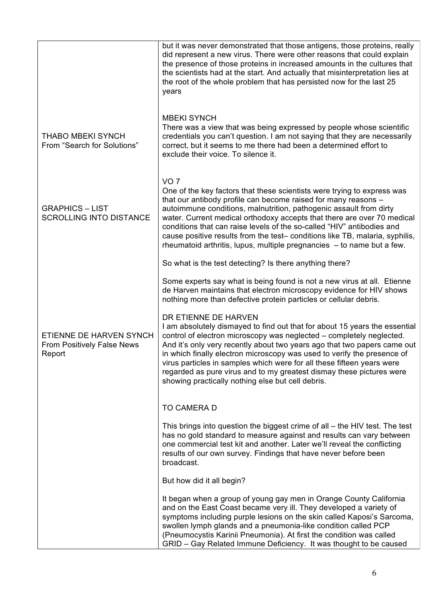|                                                                        | but it was never demonstrated that those antigens, those proteins, really<br>did represent a new virus. There were other reasons that could explain<br>the presence of those proteins in increased amounts in the cultures that<br>the scientists had at the start. And actually that misinterpretation lies at<br>the root of the whole problem that has persisted now for the last 25<br>years                                                                                                                                                    |
|------------------------------------------------------------------------|-----------------------------------------------------------------------------------------------------------------------------------------------------------------------------------------------------------------------------------------------------------------------------------------------------------------------------------------------------------------------------------------------------------------------------------------------------------------------------------------------------------------------------------------------------|
| <b>THABO MBEKI SYNCH</b><br>From "Search for Solutions"                | <b>MBEKI SYNCH</b><br>There was a view that was being expressed by people whose scientific<br>credentials you can't question. I am not saying that they are necessarily<br>correct, but it seems to me there had been a determined effort to<br>exclude their voice. To silence it.                                                                                                                                                                                                                                                                 |
| <b>GRAPHICS - LIST</b><br><b>SCROLLING INTO DISTANCE</b>               | VO <sub>7</sub><br>One of the key factors that these scientists were trying to express was<br>that our antibody profile can become raised for many reasons -<br>autoimmune conditions, malnutrition, pathogenic assault from dirty<br>water. Current medical orthodoxy accepts that there are over 70 medical<br>conditions that can raise levels of the so-called "HIV" antibodies and<br>cause positive results from the test- conditions like TB, malaria, syphilis,<br>rheumatoid arthritis, lupus, multiple pregnancies $-$ to name but a few. |
|                                                                        | So what is the test detecting? Is there anything there?                                                                                                                                                                                                                                                                                                                                                                                                                                                                                             |
|                                                                        | Some experts say what is being found is not a new virus at all. Etienne<br>de Harven maintains that electron microscopy evidence for HIV shows<br>nothing more than defective protein particles or cellular debris.                                                                                                                                                                                                                                                                                                                                 |
| ETIENNE DE HARVEN SYNCH<br><b>From Positively False News</b><br>Report | DR ETIENNE DE HARVEN<br>I am absolutely dismayed to find out that for about 15 years the essential<br>control of electron microscopy was neglected – completely neglected.<br>And it's only very recently about two years ago that two papers came out<br>in which finally electron microscopy was used to verify the presence of<br>virus particles in samples which were for all these fifteen years were<br>regarded as pure virus and to my greatest dismay these pictures were<br>showing practically nothing else but cell debris.            |
|                                                                        | TO CAMERA D                                                                                                                                                                                                                                                                                                                                                                                                                                                                                                                                         |
|                                                                        | This brings into question the biggest crime of all – the HIV test. The test<br>has no gold standard to measure against and results can vary between<br>one commercial test kit and another. Later we'll reveal the conflicting<br>results of our own survey. Findings that have never before been<br>broadcast.                                                                                                                                                                                                                                     |
|                                                                        | But how did it all begin?                                                                                                                                                                                                                                                                                                                                                                                                                                                                                                                           |
|                                                                        | It began when a group of young gay men in Orange County California<br>and on the East Coast became very ill. They developed a variety of<br>symptoms including purple lesions on the skin called Kaposi's Sarcoma,<br>swollen lymph glands and a pneumonia-like condition called PCP<br>(Pneumocystis Karinii Pneumonia). At first the condition was called<br>GRID - Gay Related Immune Deficiency. It was thought to be caused                                                                                                                    |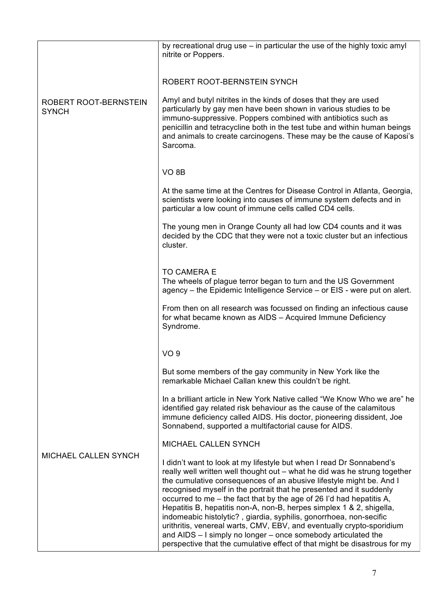|                                       | by recreational drug use – in particular the use of the highly toxic amyl<br>nitrite or Poppers.                                                                                                                                                                                                                                                                                                                                                                                                                                                                                                                                                                                                                                             |
|---------------------------------------|----------------------------------------------------------------------------------------------------------------------------------------------------------------------------------------------------------------------------------------------------------------------------------------------------------------------------------------------------------------------------------------------------------------------------------------------------------------------------------------------------------------------------------------------------------------------------------------------------------------------------------------------------------------------------------------------------------------------------------------------|
|                                       | ROBERT ROOT-BERNSTEIN SYNCH                                                                                                                                                                                                                                                                                                                                                                                                                                                                                                                                                                                                                                                                                                                  |
| ROBERT ROOT-BERNSTEIN<br><b>SYNCH</b> | Amyl and butyl nitrites in the kinds of doses that they are used<br>particularly by gay men have been shown in various studies to be<br>immuno-suppressive. Poppers combined with antibiotics such as<br>penicillin and tetracycline both in the test tube and within human beings<br>and animals to create carcinogens. These may be the cause of Kaposi's<br>Sarcoma.                                                                                                                                                                                                                                                                                                                                                                      |
|                                       | VO <sub>8</sub> B                                                                                                                                                                                                                                                                                                                                                                                                                                                                                                                                                                                                                                                                                                                            |
|                                       | At the same time at the Centres for Disease Control in Atlanta, Georgia,<br>scientists were looking into causes of immune system defects and in<br>particular a low count of immune cells called CD4 cells.                                                                                                                                                                                                                                                                                                                                                                                                                                                                                                                                  |
|                                       | The young men in Orange County all had low CD4 counts and it was<br>decided by the CDC that they were not a toxic cluster but an infectious<br>cluster.                                                                                                                                                                                                                                                                                                                                                                                                                                                                                                                                                                                      |
|                                       | <b>TO CAMERA E</b><br>The wheels of plague terror began to turn and the US Government                                                                                                                                                                                                                                                                                                                                                                                                                                                                                                                                                                                                                                                        |
|                                       | agency – the Epidemic Intelligence Service – or EIS - were put on alert.                                                                                                                                                                                                                                                                                                                                                                                                                                                                                                                                                                                                                                                                     |
|                                       | From then on all research was focussed on finding an infectious cause<br>for what became known as AIDS - Acquired Immune Deficiency<br>Syndrome.                                                                                                                                                                                                                                                                                                                                                                                                                                                                                                                                                                                             |
|                                       | VO <sub>9</sub>                                                                                                                                                                                                                                                                                                                                                                                                                                                                                                                                                                                                                                                                                                                              |
|                                       | But some members of the gay community in New York like the<br>remarkable Michael Callan knew this couldn't be right.                                                                                                                                                                                                                                                                                                                                                                                                                                                                                                                                                                                                                         |
|                                       | In a brilliant article in New York Native called "We Know Who we are" he<br>identified gay related risk behaviour as the cause of the calamitous<br>immune deficiency called AIDS. His doctor, pioneering dissident, Joe<br>Sonnabend, supported a multifactorial cause for AIDS.                                                                                                                                                                                                                                                                                                                                                                                                                                                            |
| MICHAEL CALLEN SYNCH                  | MICHAEL CALLEN SYNCH                                                                                                                                                                                                                                                                                                                                                                                                                                                                                                                                                                                                                                                                                                                         |
|                                       | I didn't want to look at my lifestyle but when I read Dr Sonnabend's<br>really well written well thought out - what he did was he strung together<br>the cumulative consequences of an abusive lifestyle might be. And I<br>recognised myself in the portrait that he presented and it suddenly<br>occurred to me – the fact that by the age of 26 I'd had hepatitis A,<br>Hepatitis B, hepatitis non-A, non-B, herpes simplex 1 & 2, shigella,<br>indomeabic histolytic?, giardia, syphilis, gonorrhoea, non-secific<br>urithritis, venereal warts, CMV, EBV, and eventually crypto-sporidium<br>and AIDS - I simply no longer - once somebody articulated the<br>perspective that the cumulative effect of that might be disastrous for my |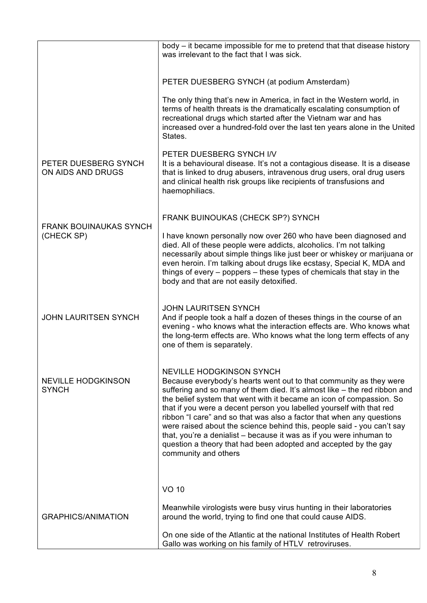|                                             | body - it became impossible for me to pretend that that disease history<br>was irrelevant to the fact that I was sick.                                                                                                                                                                                                                                                                                                                                                                                                                                                                                                                                  |
|---------------------------------------------|---------------------------------------------------------------------------------------------------------------------------------------------------------------------------------------------------------------------------------------------------------------------------------------------------------------------------------------------------------------------------------------------------------------------------------------------------------------------------------------------------------------------------------------------------------------------------------------------------------------------------------------------------------|
|                                             | PETER DUESBERG SYNCH (at podium Amsterdam)                                                                                                                                                                                                                                                                                                                                                                                                                                                                                                                                                                                                              |
|                                             | The only thing that's new in America, in fact in the Western world, in<br>terms of health threats is the dramatically escalating consumption of<br>recreational drugs which started after the Vietnam war and has<br>increased over a hundred-fold over the last ten years alone in the United<br>States.                                                                                                                                                                                                                                                                                                                                               |
| PETER DUESBERG SYNCH<br>ON AIDS AND DRUGS   | PETER DUESBERG SYNCH I/V<br>It is a behavioural disease. It's not a contagious disease. It is a disease<br>that is linked to drug abusers, intravenous drug users, oral drug users<br>and clinical health risk groups like recipients of transfusions and<br>haemophiliacs.                                                                                                                                                                                                                                                                                                                                                                             |
|                                             | FRANK BUINOUKAS (CHECK SP?) SYNCH                                                                                                                                                                                                                                                                                                                                                                                                                                                                                                                                                                                                                       |
| <b>FRANK BOUINAUKAS SYNCH</b><br>(CHECK SP) | I have known personally now over 260 who have been diagnosed and<br>died. All of these people were addicts, alcoholics. I'm not talking<br>necessarily about simple things like just beer or whiskey or marijuana or<br>even heroin. I'm talking about drugs like ecstasy, Special K, MDA and<br>things of every – poppers – these types of chemicals that stay in the<br>body and that are not easily detoxified.                                                                                                                                                                                                                                      |
| <b>JOHN LAURITSEN SYNCH</b>                 | <b>JOHN LAURITSEN SYNCH</b><br>And if people took a half a dozen of theses things in the course of an<br>evening - who knows what the interaction effects are. Who knows what<br>the long-term effects are. Who knows what the long term effects of any<br>one of them is separately.                                                                                                                                                                                                                                                                                                                                                                   |
| <b>NEVILLE HODGKINSON</b><br><b>SYNCH</b>   | <b>NEVILLE HODGKINSON SYNCH</b><br>Because everybody's hearts went out to that community as they were<br>suffering and so many of them died. It's almost like - the red ribbon and<br>the belief system that went with it became an icon of compassion. So<br>that if you were a decent person you labelled yourself with that red<br>ribbon "I care" and so that was also a factor that when any questions<br>were raised about the science behind this, people said - you can't say<br>that, you're a denialist – because it was as if you were inhuman to<br>question a theory that had been adopted and accepted by the gay<br>community and others |
|                                             | <b>VO 10</b>                                                                                                                                                                                                                                                                                                                                                                                                                                                                                                                                                                                                                                            |
| <b>GRAPHICS/ANIMATION</b>                   | Meanwhile virologists were busy virus hunting in their laboratories<br>around the world, trying to find one that could cause AIDS.                                                                                                                                                                                                                                                                                                                                                                                                                                                                                                                      |
|                                             | On one side of the Atlantic at the national Institutes of Health Robert<br>Gallo was working on his family of HTLV retroviruses.                                                                                                                                                                                                                                                                                                                                                                                                                                                                                                                        |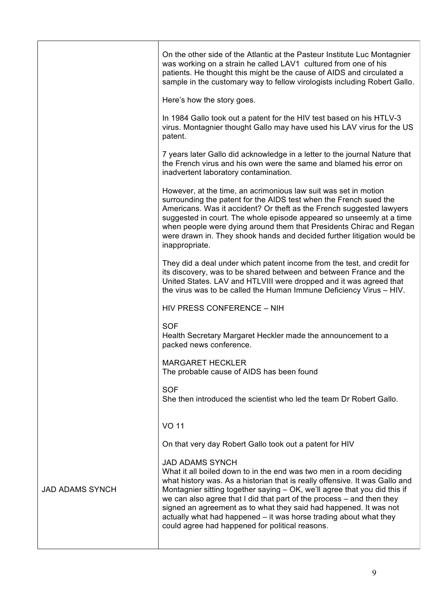|                        | On the other side of the Atlantic at the Pasteur Institute Luc Montagnier<br>was working on a strain he called LAV1 cultured from one of his<br>patients. He thought this might be the cause of AIDS and circulated a<br>sample in the customary way to fellow virologists including Robert Gallo.                                                                                                                                                                                                                               |
|------------------------|----------------------------------------------------------------------------------------------------------------------------------------------------------------------------------------------------------------------------------------------------------------------------------------------------------------------------------------------------------------------------------------------------------------------------------------------------------------------------------------------------------------------------------|
|                        | Here's how the story goes.                                                                                                                                                                                                                                                                                                                                                                                                                                                                                                       |
|                        | In 1984 Gallo took out a patent for the HIV test based on his HTLV-3<br>virus. Montagnier thought Gallo may have used his LAV virus for the US<br>patent.                                                                                                                                                                                                                                                                                                                                                                        |
|                        | 7 years later Gallo did acknowledge in a letter to the journal Nature that<br>the French virus and his own were the same and blamed his error on<br>inadvertent laboratory contamination.                                                                                                                                                                                                                                                                                                                                        |
|                        | However, at the time, an acrimonious law suit was set in motion<br>surrounding the patent for the AIDS test when the French sued the<br>Americans. Was it accident? Or theft as the French suggested lawyers<br>suggested in court. The whole episode appeared so unseemly at a time<br>when people were dying around them that Presidents Chirac and Regan<br>were drawn in. They shook hands and decided further litigation would be<br>inappropriate.                                                                         |
|                        | They did a deal under which patent income from the test, and credit for<br>its discovery, was to be shared between and between France and the<br>United States. LAV and HTLVIII were dropped and it was agreed that<br>the virus was to be called the Human Immune Deficiency Virus - HIV.                                                                                                                                                                                                                                       |
|                        | HIV PRESS CONFERENCE - NIH                                                                                                                                                                                                                                                                                                                                                                                                                                                                                                       |
|                        | <b>SOF</b><br>Health Secretary Margaret Heckler made the announcement to a<br>packed news conference.                                                                                                                                                                                                                                                                                                                                                                                                                            |
|                        | <b>MARGARET HECKLER</b><br>The probable cause of AIDS has been found                                                                                                                                                                                                                                                                                                                                                                                                                                                             |
|                        | <b>SOF</b><br>She then introduced the scientist who led the team Dr Robert Gallo.                                                                                                                                                                                                                                                                                                                                                                                                                                                |
|                        | <b>VO 11</b>                                                                                                                                                                                                                                                                                                                                                                                                                                                                                                                     |
|                        | On that very day Robert Gallo took out a patent for HIV                                                                                                                                                                                                                                                                                                                                                                                                                                                                          |
| <b>JAD ADAMS SYNCH</b> | <b>JAD ADAMS SYNCH</b><br>What it all boiled down to in the end was two men in a room deciding<br>what history was. As a historian that is really offensive. It was Gallo and<br>Montagnier sitting together saying - OK, we'll agree that you did this if<br>we can also agree that I did that part of the process – and then they<br>signed an agreement as to what they said had happened. It was not<br>actually what had happened – it was horse trading about what they<br>could agree had happened for political reasons. |
|                        |                                                                                                                                                                                                                                                                                                                                                                                                                                                                                                                                  |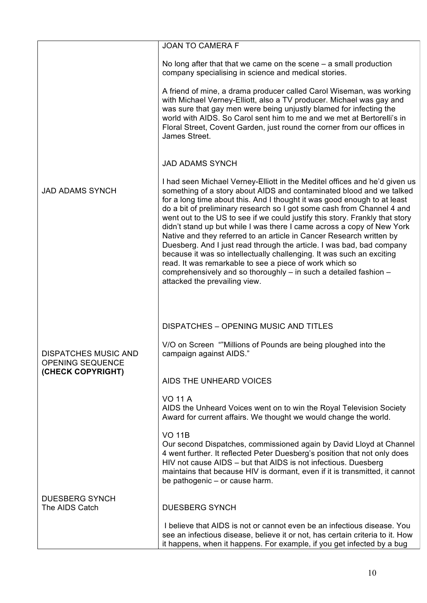|                                                                             | <b>JOAN TO CAMERA F</b>                                                                                                                                                                                                                                                                                                                                                                                                                                                                                                                                                                                                                                                                                                                                                                                                                                      |
|-----------------------------------------------------------------------------|--------------------------------------------------------------------------------------------------------------------------------------------------------------------------------------------------------------------------------------------------------------------------------------------------------------------------------------------------------------------------------------------------------------------------------------------------------------------------------------------------------------------------------------------------------------------------------------------------------------------------------------------------------------------------------------------------------------------------------------------------------------------------------------------------------------------------------------------------------------|
|                                                                             | No long after that that we came on the scene $-$ a small production<br>company specialising in science and medical stories.                                                                                                                                                                                                                                                                                                                                                                                                                                                                                                                                                                                                                                                                                                                                  |
|                                                                             | A friend of mine, a drama producer called Carol Wiseman, was working<br>with Michael Verney-Elliott, also a TV producer. Michael was gay and<br>was sure that gay men were being unjustly blamed for infecting the<br>world with AIDS. So Carol sent him to me and we met at Bertorelli's in<br>Floral Street, Covent Garden, just round the corner from our offices in<br>James Street.                                                                                                                                                                                                                                                                                                                                                                                                                                                                     |
|                                                                             | <b>JAD ADAMS SYNCH</b>                                                                                                                                                                                                                                                                                                                                                                                                                                                                                                                                                                                                                                                                                                                                                                                                                                       |
| <b>JAD ADAMS SYNCH</b>                                                      | I had seen Michael Verney-Elliott in the Meditel offices and he'd given us<br>something of a story about AIDS and contaminated blood and we talked<br>for a long time about this. And I thought it was good enough to at least<br>do a bit of preliminary research so I got some cash from Channel 4 and<br>went out to the US to see if we could justify this story. Frankly that story<br>didn't stand up but while I was there I came across a copy of New York<br>Native and they referred to an article in Cancer Research written by<br>Duesberg. And I just read through the article. I was bad, bad company<br>because it was so intellectually challenging. It was such an exciting<br>read. It was remarkable to see a piece of work which so<br>comprehensively and so thoroughly - in such a detailed fashion -<br>attacked the prevailing view. |
|                                                                             | DISPATCHES - OPENING MUSIC AND TITLES                                                                                                                                                                                                                                                                                                                                                                                                                                                                                                                                                                                                                                                                                                                                                                                                                        |
| <b>DISPATCHES MUSIC AND</b><br><b>OPENING SEQUENCE</b><br>(CHECK COPYRIGHT) | V/O on Screen "Millions of Pounds are being ploughed into the<br>campaign against AIDS."                                                                                                                                                                                                                                                                                                                                                                                                                                                                                                                                                                                                                                                                                                                                                                     |
|                                                                             | AIDS THE UNHEARD VOICES                                                                                                                                                                                                                                                                                                                                                                                                                                                                                                                                                                                                                                                                                                                                                                                                                                      |
|                                                                             | <b>VO 11 A</b><br>AIDS the Unheard Voices went on to win the Royal Television Society<br>Award for current affairs. We thought we would change the world.                                                                                                                                                                                                                                                                                                                                                                                                                                                                                                                                                                                                                                                                                                    |
|                                                                             | <b>VO 11B</b><br>Our second Dispatches, commissioned again by David Lloyd at Channel<br>4 went further. It reflected Peter Duesberg's position that not only does<br>HIV not cause AIDS - but that AIDS is not infectious. Duesberg<br>maintains that because HIV is dormant, even if it is transmitted, it cannot<br>be pathogenic – or cause harm.                                                                                                                                                                                                                                                                                                                                                                                                                                                                                                         |
| <b>DUESBERG SYNCH</b><br>The AIDS Catch                                     | <b>DUESBERG SYNCH</b>                                                                                                                                                                                                                                                                                                                                                                                                                                                                                                                                                                                                                                                                                                                                                                                                                                        |
|                                                                             | I believe that AIDS is not or cannot even be an infectious disease. You<br>see an infectious disease, believe it or not, has certain criteria to it. How<br>it happens, when it happens. For example, if you get infected by a bug                                                                                                                                                                                                                                                                                                                                                                                                                                                                                                                                                                                                                           |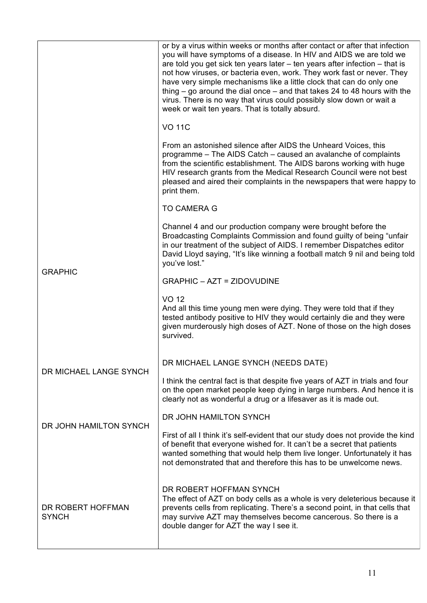|                                   | or by a virus within weeks or months after contact or after that infection<br>you will have symptoms of a disease. In HIV and AIDS we are told we<br>are told you get sick ten years later – ten years after infection – that is<br>not how viruses, or bacteria even, work. They work fast or never. They<br>have very simple mechanisms like a little clock that can do only one<br>thing $-$ go around the dial once $-$ and that takes 24 to 48 hours with the<br>virus. There is no way that virus could possibly slow down or wait a<br>week or wait ten years. That is totally absurd. |
|-----------------------------------|-----------------------------------------------------------------------------------------------------------------------------------------------------------------------------------------------------------------------------------------------------------------------------------------------------------------------------------------------------------------------------------------------------------------------------------------------------------------------------------------------------------------------------------------------------------------------------------------------|
|                                   | <b>VO 11C</b>                                                                                                                                                                                                                                                                                                                                                                                                                                                                                                                                                                                 |
|                                   | From an astonished silence after AIDS the Unheard Voices, this<br>programme – The AIDS Catch – caused an avalanche of complaints<br>from the scientific establishment. The AIDS barons working with huge<br>HIV research grants from the Medical Research Council were not best<br>pleased and aired their complaints in the newspapers that were happy to<br>print them.                                                                                                                                                                                                                     |
|                                   | <b>TO CAMERA G</b>                                                                                                                                                                                                                                                                                                                                                                                                                                                                                                                                                                            |
|                                   | Channel 4 and our production company were brought before the<br>Broadcasting Complaints Commission and found guilty of being "unfair<br>in our treatment of the subject of AIDS. I remember Dispatches editor<br>David Lloyd saying, "It's like winning a football match 9 nil and being told<br>you've lost."                                                                                                                                                                                                                                                                                |
| <b>GRAPHIC</b>                    | <b>GRAPHIC - AZT = ZIDOVUDINE</b>                                                                                                                                                                                                                                                                                                                                                                                                                                                                                                                                                             |
|                                   | <b>VO 12</b><br>And all this time young men were dying. They were told that if they<br>tested antibody positive to HIV they would certainly die and they were<br>given murderously high doses of AZT. None of those on the high doses<br>survived.                                                                                                                                                                                                                                                                                                                                            |
|                                   | DR MICHAEL LANGE SYNCH (NEEDS DATE)                                                                                                                                                                                                                                                                                                                                                                                                                                                                                                                                                           |
| DR MICHAEL LANGE SYNCH            | I think the central fact is that despite five years of AZT in trials and four<br>on the open market people keep dying in large numbers. And hence it is<br>clearly not as wonderful a drug or a lifesaver as it is made out.                                                                                                                                                                                                                                                                                                                                                                  |
| DR JOHN HAMILTON SYNCH            | DR JOHN HAMILTON SYNCH                                                                                                                                                                                                                                                                                                                                                                                                                                                                                                                                                                        |
|                                   | First of all I think it's self-evident that our study does not provide the kind<br>of benefit that everyone wished for. It can't be a secret that patients<br>wanted something that would help them live longer. Unfortunately it has<br>not demonstrated that and therefore this has to be unwelcome news.                                                                                                                                                                                                                                                                                   |
| DR ROBERT HOFFMAN<br><b>SYNCH</b> | DR ROBERT HOFFMAN SYNCH<br>The effect of AZT on body cells as a whole is very deleterious because it<br>prevents cells from replicating. There's a second point, in that cells that<br>may survive AZT may themselves become cancerous. So there is a<br>double danger for AZT the way I see it.                                                                                                                                                                                                                                                                                              |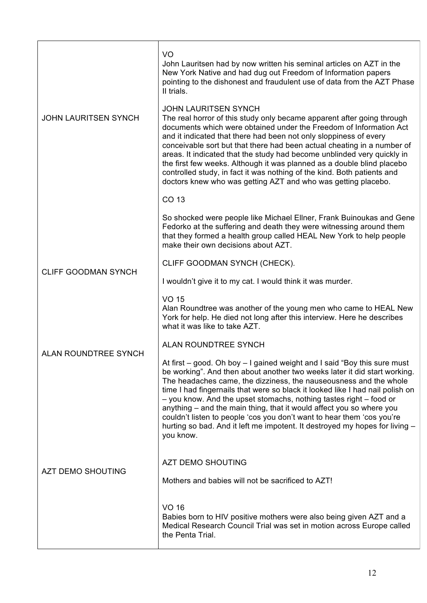|                             | V <sub>O</sub><br>John Lauritsen had by now written his seminal articles on AZT in the<br>New York Native and had dug out Freedom of Information papers<br>pointing to the dishonest and fraudulent use of data from the AZT Phase<br>II trials.                                                                                                                                                                                                                                                                                                                                                                                |
|-----------------------------|---------------------------------------------------------------------------------------------------------------------------------------------------------------------------------------------------------------------------------------------------------------------------------------------------------------------------------------------------------------------------------------------------------------------------------------------------------------------------------------------------------------------------------------------------------------------------------------------------------------------------------|
| <b>JOHN LAURITSEN SYNCH</b> | <b>JOHN LAURITSEN SYNCH</b><br>The real horror of this study only became apparent after going through<br>documents which were obtained under the Freedom of Information Act<br>and it indicated that there had been not only sloppiness of every<br>conceivable sort but that there had been actual cheating in a number of<br>areas. It indicated that the study had become unblinded very quickly in<br>the first few weeks. Although it was planned as a double blind placebo<br>controlled study, in fact it was nothing of the kind. Both patients and<br>doctors knew who was getting AZT and who was getting placebo.    |
|                             | CO 13                                                                                                                                                                                                                                                                                                                                                                                                                                                                                                                                                                                                                           |
|                             | So shocked were people like Michael Ellner, Frank Buinoukas and Gene<br>Fedorko at the suffering and death they were witnessing around them<br>that they formed a health group called HEAL New York to help people<br>make their own decisions about AZT.                                                                                                                                                                                                                                                                                                                                                                       |
|                             | CLIFF GOODMAN SYNCH (CHECK).                                                                                                                                                                                                                                                                                                                                                                                                                                                                                                                                                                                                    |
| <b>CLIFF GOODMAN SYNCH</b>  | I wouldn't give it to my cat. I would think it was murder.                                                                                                                                                                                                                                                                                                                                                                                                                                                                                                                                                                      |
|                             | <b>VO 15</b><br>Alan Roundtree was another of the young men who came to HEAL New<br>York for help. He died not long after this interview. Here he describes<br>what it was like to take AZT.                                                                                                                                                                                                                                                                                                                                                                                                                                    |
|                             | ALAN ROUNDTREE SYNCH                                                                                                                                                                                                                                                                                                                                                                                                                                                                                                                                                                                                            |
| <b>ALAN ROUNDTREE SYNCH</b> | At first – good. Oh boy – I gained weight and I said "Boy this sure must<br>be working". And then about another two weeks later it did start working.<br>The headaches came, the dizziness, the nauseousness and the whole<br>time I had fingernails that were so black it looked like I had nail polish on<br>- you know. And the upset stomachs, nothing tastes right - food or<br>anything – and the main thing, that it would affect you so where you<br>couldn't listen to people 'cos you don't want to hear them 'cos you're<br>hurting so bad. And it left me impotent. It destroyed my hopes for living -<br>you know. |
| <b>AZT DEMO SHOUTING</b>    | <b>AZT DEMO SHOUTING</b>                                                                                                                                                                                                                                                                                                                                                                                                                                                                                                                                                                                                        |
|                             | Mothers and babies will not be sacrificed to AZT!                                                                                                                                                                                                                                                                                                                                                                                                                                                                                                                                                                               |
|                             | VO 16<br>Babies born to HIV positive mothers were also being given AZT and a<br>Medical Research Council Trial was set in motion across Europe called<br>the Penta Trial.                                                                                                                                                                                                                                                                                                                                                                                                                                                       |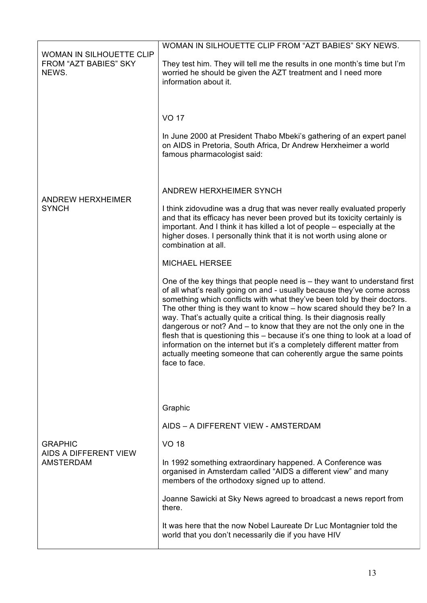|                                                                          | WOMAN IN SILHOUETTE CLIP FROM "AZT BABIES" SKY NEWS.                                                                                                                                                                                                                                                                                                                                                                                                                                                                                                                                                                                                                                                               |
|--------------------------------------------------------------------------|--------------------------------------------------------------------------------------------------------------------------------------------------------------------------------------------------------------------------------------------------------------------------------------------------------------------------------------------------------------------------------------------------------------------------------------------------------------------------------------------------------------------------------------------------------------------------------------------------------------------------------------------------------------------------------------------------------------------|
| <b>WOMAN IN SILHOUETTE CLIP</b><br><b>FROM "AZT BABIES" SKY</b><br>NEWS. | They test him. They will tell me the results in one month's time but I'm<br>worried he should be given the AZT treatment and I need more<br>information about it.                                                                                                                                                                                                                                                                                                                                                                                                                                                                                                                                                  |
|                                                                          | <b>VO 17</b><br>In June 2000 at President Thabo Mbeki's gathering of an expert panel<br>on AIDS in Pretoria, South Africa, Dr Andrew Herxheimer a world<br>famous pharmacologist said:                                                                                                                                                                                                                                                                                                                                                                                                                                                                                                                             |
|                                                                          | ANDREW HERXHEIMER SYNCH                                                                                                                                                                                                                                                                                                                                                                                                                                                                                                                                                                                                                                                                                            |
| <b>ANDREW HERXHEIMER</b><br><b>SYNCH</b>                                 | I think zidovudine was a drug that was never really evaluated properly<br>and that its efficacy has never been proved but its toxicity certainly is<br>important. And I think it has killed a lot of people – especially at the<br>higher doses. I personally think that it is not worth using alone or<br>combination at all.                                                                                                                                                                                                                                                                                                                                                                                     |
|                                                                          | <b>MICHAEL HERSEE</b>                                                                                                                                                                                                                                                                                                                                                                                                                                                                                                                                                                                                                                                                                              |
|                                                                          | One of the key things that people need is $-$ they want to understand first<br>of all what's really going on and - usually because they've come across<br>something which conflicts with what they've been told by their doctors.<br>The other thing is they want to know - how scared should they be? In a<br>way. That's actually quite a critical thing. Is their diagnosis really<br>dangerous or not? And $-$ to know that they are not the only one in the<br>flesh that is questioning this - because it's one thing to look at a load of<br>information on the internet but it's a completely different matter from<br>actually meeting someone that can coherently argue the same points<br>face to face. |
|                                                                          |                                                                                                                                                                                                                                                                                                                                                                                                                                                                                                                                                                                                                                                                                                                    |
| <b>GRAPHIC</b><br>AIDS A DIFFERENT VIEW<br><b>AMSTERDAM</b>              | Graphic                                                                                                                                                                                                                                                                                                                                                                                                                                                                                                                                                                                                                                                                                                            |
|                                                                          | AIDS - A DIFFERENT VIEW - AMSTERDAM                                                                                                                                                                                                                                                                                                                                                                                                                                                                                                                                                                                                                                                                                |
|                                                                          | <b>VO 18</b>                                                                                                                                                                                                                                                                                                                                                                                                                                                                                                                                                                                                                                                                                                       |
|                                                                          | In 1992 something extraordinary happened. A Conference was<br>organised in Amsterdam called "AIDS a different view" and many<br>members of the orthodoxy signed up to attend.                                                                                                                                                                                                                                                                                                                                                                                                                                                                                                                                      |
|                                                                          | Joanne Sawicki at Sky News agreed to broadcast a news report from<br>there.                                                                                                                                                                                                                                                                                                                                                                                                                                                                                                                                                                                                                                        |
|                                                                          | It was here that the now Nobel Laureate Dr Luc Montagnier told the<br>world that you don't necessarily die if you have HIV                                                                                                                                                                                                                                                                                                                                                                                                                                                                                                                                                                                         |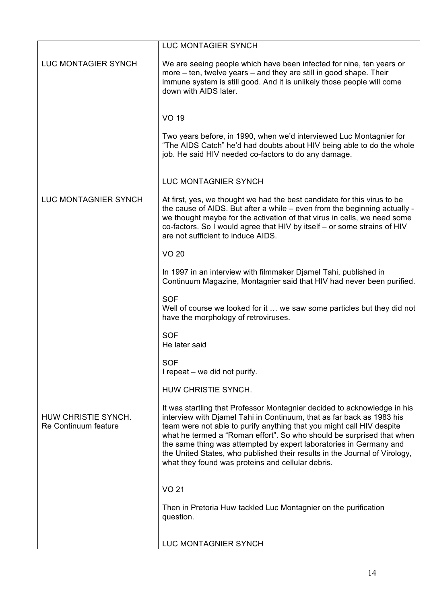|                                             | <b>LUC MONTAGIER SYNCH</b>                                                                                                                                                                                                                                                                                                                                                                                                                                                                                   |
|---------------------------------------------|--------------------------------------------------------------------------------------------------------------------------------------------------------------------------------------------------------------------------------------------------------------------------------------------------------------------------------------------------------------------------------------------------------------------------------------------------------------------------------------------------------------|
| <b>LUC MONTAGIER SYNCH</b>                  | We are seeing people which have been infected for nine, ten years or<br>more – ten, twelve years – and they are still in good shape. Their<br>immune system is still good. And it is unlikely those people will come<br>down with AIDS later.                                                                                                                                                                                                                                                                |
|                                             | <b>VO 19</b>                                                                                                                                                                                                                                                                                                                                                                                                                                                                                                 |
|                                             | Two years before, in 1990, when we'd interviewed Luc Montagnier for<br>"The AIDS Catch" he'd had doubts about HIV being able to do the whole<br>job. He said HIV needed co-factors to do any damage.                                                                                                                                                                                                                                                                                                         |
|                                             | <b>LUC MONTAGNIER SYNCH</b>                                                                                                                                                                                                                                                                                                                                                                                                                                                                                  |
| LUC MONTAGNIER SYNCH                        | At first, yes, we thought we had the best candidate for this virus to be<br>the cause of AIDS. But after a while – even from the beginning actually -<br>we thought maybe for the activation of that virus in cells, we need some<br>co-factors. So I would agree that HIV by itself - or some strains of HIV<br>are not sufficient to induce AIDS.                                                                                                                                                          |
|                                             | <b>VO 20</b>                                                                                                                                                                                                                                                                                                                                                                                                                                                                                                 |
|                                             | In 1997 in an interview with filmmaker Djamel Tahi, published in<br>Continuum Magazine, Montagnier said that HIV had never been purified.                                                                                                                                                                                                                                                                                                                                                                    |
|                                             | <b>SOF</b><br>Well of course we looked for it  we saw some particles but they did not<br>have the morphology of retroviruses.                                                                                                                                                                                                                                                                                                                                                                                |
|                                             | <b>SOF</b><br>He later said                                                                                                                                                                                                                                                                                                                                                                                                                                                                                  |
|                                             | <b>SOF</b><br>I repeat – we did not purify.                                                                                                                                                                                                                                                                                                                                                                                                                                                                  |
|                                             | HUW CHRISTIE SYNCH.                                                                                                                                                                                                                                                                                                                                                                                                                                                                                          |
| HUW CHRISTIE SYNCH.<br>Re Continuum feature | It was startling that Professor Montagnier decided to acknowledge in his<br>interview with Djamel Tahi in Continuum, that as far back as 1983 his<br>team were not able to purify anything that you might call HIV despite<br>what he termed a "Roman effort". So who should be surprised that when<br>the same thing was attempted by expert laboratories in Germany and<br>the United States, who published their results in the Journal of Virology,<br>what they found was proteins and cellular debris. |
|                                             | <b>VO 21</b>                                                                                                                                                                                                                                                                                                                                                                                                                                                                                                 |
|                                             | Then in Pretoria Huw tackled Luc Montagnier on the purification<br>question.                                                                                                                                                                                                                                                                                                                                                                                                                                 |
|                                             | LUC MONTAGNIER SYNCH                                                                                                                                                                                                                                                                                                                                                                                                                                                                                         |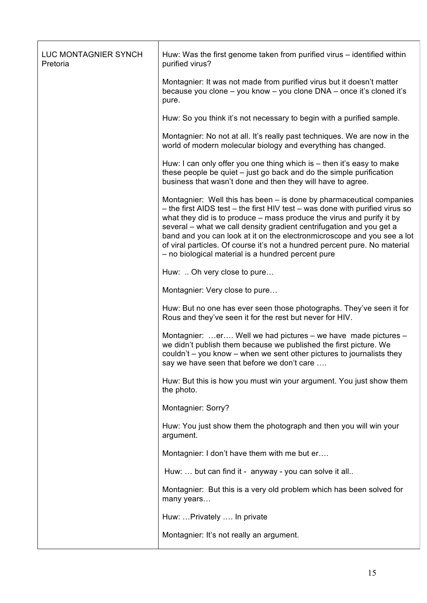| LUC MONTAGNIER SYNCH<br>Pretoria | Huw: Was the first genome taken from purified virus – identified within<br>purified virus?                                                                                                                                                                                                                                                                                                                                                                                                                           |
|----------------------------------|----------------------------------------------------------------------------------------------------------------------------------------------------------------------------------------------------------------------------------------------------------------------------------------------------------------------------------------------------------------------------------------------------------------------------------------------------------------------------------------------------------------------|
|                                  | Montagnier: It was not made from purified virus but it doesn't matter<br>because you clone - you know - you clone DNA - once it's cloned it's<br>pure.                                                                                                                                                                                                                                                                                                                                                               |
|                                  | Huw: So you think it's not necessary to begin with a purified sample.                                                                                                                                                                                                                                                                                                                                                                                                                                                |
|                                  | Montagnier: No not at all. It's really past techniques. We are now in the<br>world of modern molecular biology and everything has changed.                                                                                                                                                                                                                                                                                                                                                                           |
|                                  | Huw: I can only offer you one thing which is - then it's easy to make<br>these people be quiet – just go back and do the simple purification<br>business that wasn't done and then they will have to agree.                                                                                                                                                                                                                                                                                                          |
|                                  | Montagnier: Well this has been – is done by pharmaceutical companies<br>- the first AIDS test - the first HIV test - was done with purified virus so<br>what they did is to produce – mass produce the virus and purify it by<br>several - what we call density gradient centrifugation and you get a<br>band and you can look at it on the electronmicroscope and you see a lot<br>of viral particles. Of course it's not a hundred percent pure. No material<br>- no biological material is a hundred percent pure |
|                                  | Huw:  Oh very close to pure                                                                                                                                                                                                                                                                                                                                                                                                                                                                                          |
|                                  | Montagnier: Very close to pure                                                                                                                                                                                                                                                                                                                                                                                                                                                                                       |
|                                  | Huw: But no one has ever seen those photographs. They've seen it for<br>Rous and they've seen it for the rest but never for HIV.                                                                                                                                                                                                                                                                                                                                                                                     |
|                                  | Montagnier: er Well we had pictures – we have made pictures –<br>we didn't publish them because we published the first picture. We<br>couldn't – you know – when we sent other pictures to journalists they<br>say we have seen that before we don't care                                                                                                                                                                                                                                                            |
|                                  | Huw: But this is how you must win your argument. You just show them<br>the photo.                                                                                                                                                                                                                                                                                                                                                                                                                                    |
|                                  | Montagnier: Sorry?                                                                                                                                                                                                                                                                                                                                                                                                                                                                                                   |
|                                  | Huw: You just show them the photograph and then you will win your<br>argument.                                                                                                                                                                                                                                                                                                                                                                                                                                       |
|                                  | Montagnier: I don't have them with me but er                                                                                                                                                                                                                                                                                                                                                                                                                                                                         |
|                                  | Huw:  but can find it - anyway - you can solve it all                                                                                                                                                                                                                                                                                                                                                                                                                                                                |
|                                  | Montagnier: But this is a very old problem which has been solved for<br>many years                                                                                                                                                                                                                                                                                                                                                                                                                                   |
|                                  | Huw:  Privately  In private                                                                                                                                                                                                                                                                                                                                                                                                                                                                                          |
|                                  | Montagnier: It's not really an argument.                                                                                                                                                                                                                                                                                                                                                                                                                                                                             |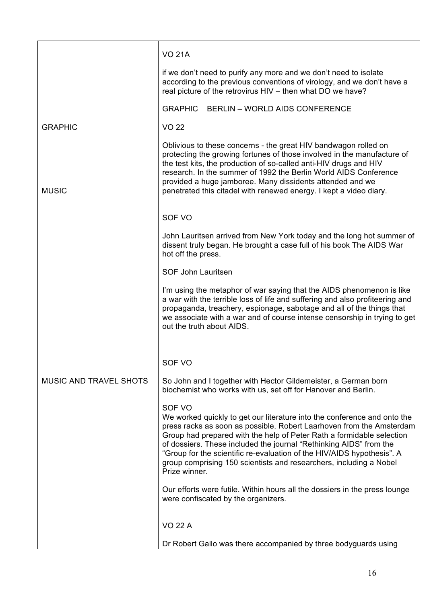|                               | <b>VO 21A</b>                                                                                                                                                                                                                                                                                                                                                                                                                                                              |
|-------------------------------|----------------------------------------------------------------------------------------------------------------------------------------------------------------------------------------------------------------------------------------------------------------------------------------------------------------------------------------------------------------------------------------------------------------------------------------------------------------------------|
|                               | if we don't need to purify any more and we don't need to isolate<br>according to the previous conventions of virology, and we don't have a<br>real picture of the retrovirus HIV - then what DO we have?                                                                                                                                                                                                                                                                   |
|                               | GRAPHIC BERLIN - WORLD AIDS CONFERENCE                                                                                                                                                                                                                                                                                                                                                                                                                                     |
| <b>GRAPHIC</b>                | <b>VO 22</b>                                                                                                                                                                                                                                                                                                                                                                                                                                                               |
| <b>MUSIC</b>                  | Oblivious to these concerns - the great HIV bandwagon rolled on<br>protecting the growing fortunes of those involved in the manufacture of<br>the test kits, the production of so-called anti-HIV drugs and HIV<br>research. In the summer of 1992 the Berlin World AIDS Conference<br>provided a huge jamboree. Many dissidents attended and we<br>penetrated this citadel with renewed energy. I kept a video diary.                                                     |
|                               | SOF VO                                                                                                                                                                                                                                                                                                                                                                                                                                                                     |
|                               | John Lauritsen arrived from New York today and the long hot summer of<br>dissent truly began. He brought a case full of his book The AIDS War<br>hot off the press.                                                                                                                                                                                                                                                                                                        |
|                               | SOF John Lauritsen                                                                                                                                                                                                                                                                                                                                                                                                                                                         |
|                               | I'm using the metaphor of war saying that the AIDS phenomenon is like<br>a war with the terrible loss of life and suffering and also profiteering and<br>propaganda, treachery, espionage, sabotage and all of the things that<br>we associate with a war and of course intense censorship in trying to get<br>out the truth about AIDS.                                                                                                                                   |
|                               | SOF VO                                                                                                                                                                                                                                                                                                                                                                                                                                                                     |
| <b>MUSIC AND TRAVEL SHOTS</b> | So John and I together with Hector Gildemeister, a German born<br>biochemist who works with us, set off for Hanover and Berlin.                                                                                                                                                                                                                                                                                                                                            |
|                               | SOF VO<br>We worked quickly to get our literature into the conference and onto the<br>press racks as soon as possible. Robert Laarhoven from the Amsterdam<br>Group had prepared with the help of Peter Rath a formidable selection<br>of dossiers. These included the journal "Rethinking AIDS" from the<br>"Group for the scientific re-evaluation of the HIV/AIDS hypothesis". A<br>group comprising 150 scientists and researchers, including a Nobel<br>Prize winner. |
|                               | Our efforts were futile. Within hours all the dossiers in the press lounge<br>were confiscated by the organizers.                                                                                                                                                                                                                                                                                                                                                          |
|                               | <b>VO 22 A</b>                                                                                                                                                                                                                                                                                                                                                                                                                                                             |
|                               | Dr Robert Gallo was there accompanied by three bodyguards using                                                                                                                                                                                                                                                                                                                                                                                                            |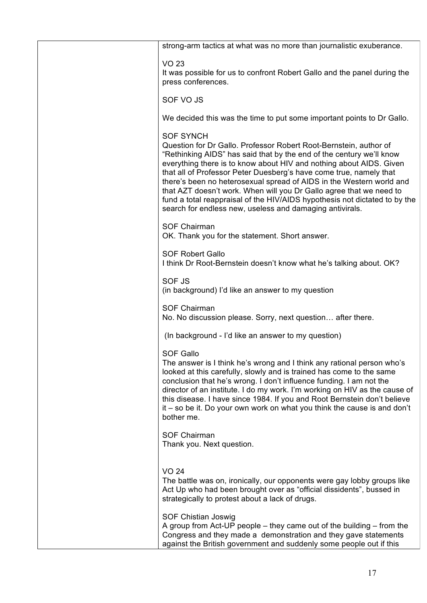| strong-arm tactics at what was no more than journalistic exuberance.                                                                                                                                                                                                                                                                                                                                                                                                                                                                                                                                |
|-----------------------------------------------------------------------------------------------------------------------------------------------------------------------------------------------------------------------------------------------------------------------------------------------------------------------------------------------------------------------------------------------------------------------------------------------------------------------------------------------------------------------------------------------------------------------------------------------------|
| <b>VO 23</b><br>It was possible for us to confront Robert Gallo and the panel during the<br>press conferences.                                                                                                                                                                                                                                                                                                                                                                                                                                                                                      |
| SOF VO JS                                                                                                                                                                                                                                                                                                                                                                                                                                                                                                                                                                                           |
| We decided this was the time to put some important points to Dr Gallo.                                                                                                                                                                                                                                                                                                                                                                                                                                                                                                                              |
| <b>SOF SYNCH</b><br>Question for Dr Gallo. Professor Robert Root-Bernstein, author of<br>"Rethinking AIDS" has said that by the end of the century we'll know<br>everything there is to know about HIV and nothing about AIDS. Given<br>that all of Professor Peter Duesberg's have come true, namely that<br>there's been no heterosexual spread of AIDS in the Western world and<br>that AZT doesn't work. When will you Dr Gallo agree that we need to<br>fund a total reappraisal of the HIV/AIDS hypothesis not dictated to by the<br>search for endless new, useless and damaging antivirals. |
| <b>SOF Chairman</b><br>OK. Thank you for the statement. Short answer.                                                                                                                                                                                                                                                                                                                                                                                                                                                                                                                               |
| <b>SOF Robert Gallo</b><br>I think Dr Root-Bernstein doesn't know what he's talking about. OK?                                                                                                                                                                                                                                                                                                                                                                                                                                                                                                      |
| SOF JS<br>(in background) I'd like an answer to my question                                                                                                                                                                                                                                                                                                                                                                                                                                                                                                                                         |
| <b>SOF Chairman</b><br>No. No discussion please. Sorry, next question after there.                                                                                                                                                                                                                                                                                                                                                                                                                                                                                                                  |
| (In background - I'd like an answer to my question)                                                                                                                                                                                                                                                                                                                                                                                                                                                                                                                                                 |
| <b>SOF Gallo</b><br>The answer is I think he's wrong and I think any rational person who's<br>looked at this carefully, slowly and is trained has come to the same<br>conclusion that he's wrong. I don't influence funding. I am not the<br>director of an institute. I do my work. I'm working on HIV as the cause of<br>this disease. I have since 1984. If you and Root Bernstein don't believe<br>it – so be it. Do your own work on what you think the cause is and don't<br>bother me.                                                                                                       |
| <b>SOF Chairman</b><br>Thank you. Next question.                                                                                                                                                                                                                                                                                                                                                                                                                                                                                                                                                    |
| <b>VO 24</b><br>The battle was on, ironically, our opponents were gay lobby groups like<br>Act Up who had been brought over as "official dissidents", bussed in<br>strategically to protest about a lack of drugs.                                                                                                                                                                                                                                                                                                                                                                                  |
| SOF Chistian Joswig<br>A group from Act-UP people - they came out of the building - from the<br>Congress and they made a demonstration and they gave statements<br>against the British government and suddenly some people out if this                                                                                                                                                                                                                                                                                                                                                              |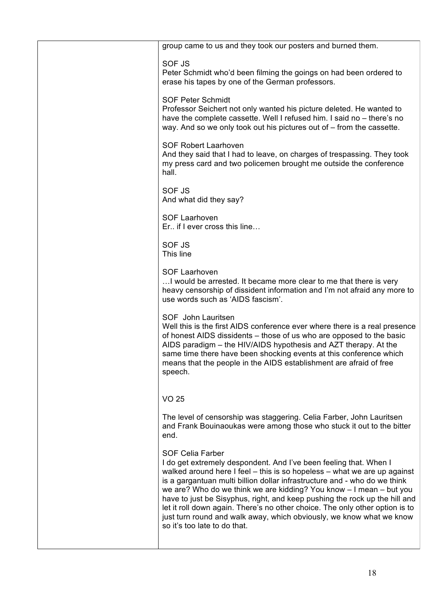| group came to us and they took our posters and burned them.                                                                                                                                                                                                                                                                                                                                                                                                                                                                                                                                        |
|----------------------------------------------------------------------------------------------------------------------------------------------------------------------------------------------------------------------------------------------------------------------------------------------------------------------------------------------------------------------------------------------------------------------------------------------------------------------------------------------------------------------------------------------------------------------------------------------------|
| <b>SOF JS</b><br>Peter Schmidt who'd been filming the goings on had been ordered to<br>erase his tapes by one of the German professors.                                                                                                                                                                                                                                                                                                                                                                                                                                                            |
| <b>SOF Peter Schmidt</b><br>Professor Seichert not only wanted his picture deleted. He wanted to<br>have the complete cassette. Well I refused him. I said no - there's no<br>way. And so we only took out his pictures out of – from the cassette.                                                                                                                                                                                                                                                                                                                                                |
| <b>SOF Robert Laarhoven</b><br>And they said that I had to leave, on charges of trespassing. They took<br>my press card and two policemen brought me outside the conference<br>hall.                                                                                                                                                                                                                                                                                                                                                                                                               |
| <b>SOF JS</b><br>And what did they say?                                                                                                                                                                                                                                                                                                                                                                                                                                                                                                                                                            |
| <b>SOF Laarhoven</b><br>Er if I ever cross this line                                                                                                                                                                                                                                                                                                                                                                                                                                                                                                                                               |
| <b>SOF JS</b><br>This line                                                                                                                                                                                                                                                                                                                                                                                                                                                                                                                                                                         |
| <b>SOF Laarhoven</b><br>I would be arrested. It became more clear to me that there is very<br>heavy censorship of dissident information and I'm not afraid any more to<br>use words such as 'AIDS fascism'.                                                                                                                                                                                                                                                                                                                                                                                        |
| SOF John Lauritsen<br>Well this is the first AIDS conference ever where there is a real presence<br>of honest AIDS dissidents - those of us who are opposed to the basic<br>AIDS paradigm - the HIV/AIDS hypothesis and AZT therapy. At the<br>same time there have been shocking events at this conference which<br>means that the people in the AIDS establishment are afraid of free<br>speech.                                                                                                                                                                                                 |
| VO 25                                                                                                                                                                                                                                                                                                                                                                                                                                                                                                                                                                                              |
| The level of censorship was staggering. Celia Farber, John Lauritsen<br>and Frank Bouinaoukas were among those who stuck it out to the bitter<br>end.                                                                                                                                                                                                                                                                                                                                                                                                                                              |
| <b>SOF Celia Farber</b><br>I do get extremely despondent. And I've been feeling that. When I<br>walked around here I feel - this is so hopeless - what we are up against<br>is a gargantuan multi billion dollar infrastructure and - who do we think<br>we are? Who do we think we are kidding? You know - I mean - but you<br>have to just be Sisyphus, right, and keep pushing the rock up the hill and<br>let it roll down again. There's no other choice. The only other option is to<br>just turn round and walk away, which obviously, we know what we know<br>so it's too late to do that. |
|                                                                                                                                                                                                                                                                                                                                                                                                                                                                                                                                                                                                    |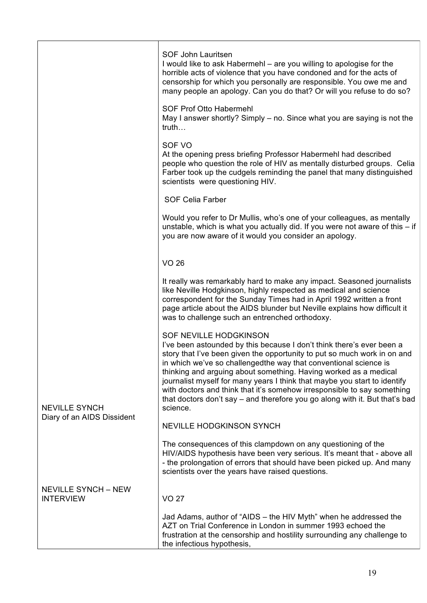|                                                | SOF John Lauritsen<br>I would like to ask Habermehl – are you willing to apologise for the<br>horrible acts of violence that you have condoned and for the acts of<br>censorship for which you personally are responsible. You owe me and<br>many people an apology. Can you do that? Or will you refuse to do so?                                                                                                                                                                                                                                                     |
|------------------------------------------------|------------------------------------------------------------------------------------------------------------------------------------------------------------------------------------------------------------------------------------------------------------------------------------------------------------------------------------------------------------------------------------------------------------------------------------------------------------------------------------------------------------------------------------------------------------------------|
|                                                | SOF Prof Otto Habermehl<br>May I answer shortly? Simply – no. Since what you are saying is not the<br>truth                                                                                                                                                                                                                                                                                                                                                                                                                                                            |
|                                                | SOF VO<br>At the opening press briefing Professor Habermehl had described<br>people who question the role of HIV as mentally disturbed groups. Celia<br>Farber took up the cudgels reminding the panel that many distinguished<br>scientists were questioning HIV.                                                                                                                                                                                                                                                                                                     |
|                                                | <b>SOF Celia Farber</b>                                                                                                                                                                                                                                                                                                                                                                                                                                                                                                                                                |
|                                                | Would you refer to Dr Mullis, who's one of your colleagues, as mentally<br>unstable, which is what you actually did. If you were not aware of this $-$ if<br>you are now aware of it would you consider an apology.                                                                                                                                                                                                                                                                                                                                                    |
|                                                | <b>VO 26</b>                                                                                                                                                                                                                                                                                                                                                                                                                                                                                                                                                           |
|                                                | It really was remarkably hard to make any impact. Seasoned journalists<br>like Neville Hodgkinson, highly respected as medical and science<br>correspondent for the Sunday Times had in April 1992 written a front<br>page article about the AIDS blunder but Neville explains how difficult it<br>was to challenge such an entrenched orthodoxy.                                                                                                                                                                                                                      |
| <b>NEVILLE SYNCH</b>                           | SOF NEVILLE HODGKINSON<br>I've been astounded by this because I don't think there's ever been a<br>story that I've been given the opportunity to put so much work in on and<br>in which we've so challengedthe way that conventional science is<br>thinking and arguing about something. Having worked as a medical<br>journalist myself for many years I think that maybe you start to identify<br>with doctors and think that it's somehow irresponsible to say something<br>that doctors don't say – and therefore you go along with it. But that's bad<br>science. |
| Diary of an AIDS Dissident                     | NEVILLE HODGKINSON SYNCH                                                                                                                                                                                                                                                                                                                                                                                                                                                                                                                                               |
|                                                | The consequences of this clampdown on any questioning of the<br>HIV/AIDS hypothesis have been very serious. It's meant that - above all<br>- the prolongation of errors that should have been picked up. And many<br>scientists over the years have raised questions.                                                                                                                                                                                                                                                                                                  |
| <b>NEVILLE SYNCH - NEW</b><br><b>INTERVIEW</b> | <b>VO 27</b>                                                                                                                                                                                                                                                                                                                                                                                                                                                                                                                                                           |
|                                                | Jad Adams, author of "AIDS - the HIV Myth" when he addressed the<br>AZT on Trial Conference in London in summer 1993 echoed the<br>frustration at the censorship and hostility surrounding any challenge to<br>the infectious hypothesis,                                                                                                                                                                                                                                                                                                                              |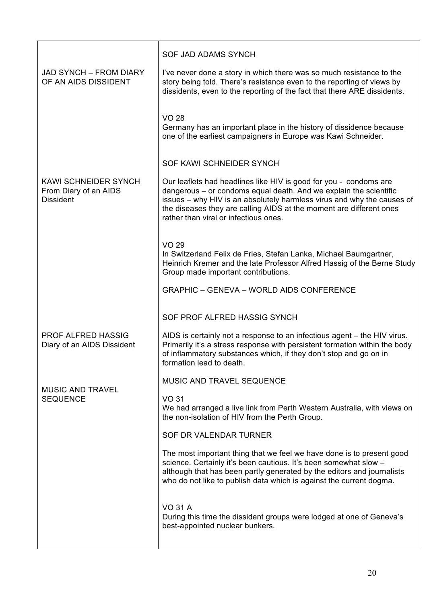|                                                                   | SOF JAD ADAMS SYNCH                                                                                                                                                                                                                                                                                                              |
|-------------------------------------------------------------------|----------------------------------------------------------------------------------------------------------------------------------------------------------------------------------------------------------------------------------------------------------------------------------------------------------------------------------|
| <b>JAD SYNCH - FROM DIARY</b><br>OF AN AIDS DISSIDENT             | I've never done a story in which there was so much resistance to the<br>story being told. There's resistance even to the reporting of views by<br>dissidents, even to the reporting of the fact that there ARE dissidents.                                                                                                       |
|                                                                   | <b>VO 28</b><br>Germany has an important place in the history of dissidence because<br>one of the earliest campaigners in Europe was Kawi Schneider.                                                                                                                                                                             |
|                                                                   | SOF KAWI SCHNEIDER SYNCH                                                                                                                                                                                                                                                                                                         |
| KAWI SCHNEIDER SYNCH<br>From Diary of an AIDS<br><b>Dissident</b> | Our leaflets had headlines like HIV is good for you - condoms are<br>dangerous - or condoms equal death. And we explain the scientific<br>issues - why HIV is an absolutely harmless virus and why the causes of<br>the diseases they are calling AIDS at the moment are different ones<br>rather than viral or infectious ones. |
|                                                                   | <b>VO 29</b><br>In Switzerland Felix de Fries, Stefan Lanka, Michael Baumgartner,<br>Heinrich Kremer and the late Professor Alfred Hassig of the Berne Study<br>Group made important contributions.                                                                                                                              |
|                                                                   | <b>GRAPHIC - GENEVA - WORLD AIDS CONFERENCE</b>                                                                                                                                                                                                                                                                                  |
|                                                                   | SOF PROF ALFRED HASSIG SYNCH                                                                                                                                                                                                                                                                                                     |
| <b>PROF ALFRED HASSIG</b><br>Diary of an AIDS Dissident           | AIDS is certainly not a response to an infectious agent – the HIV virus.<br>Primarily it's a stress response with persistent formation within the body<br>of inflammatory substances which, if they don't stop and go on in<br>formation lead to death.                                                                          |
| MUSIC AND TRAVEL                                                  | MUSIC AND TRAVEL SEQUENCE                                                                                                                                                                                                                                                                                                        |
| <b>SEQUENCE</b>                                                   | <b>VO 31</b><br>We had arranged a live link from Perth Western Australia, with views on<br>the non-isolation of HIV from the Perth Group.                                                                                                                                                                                        |
|                                                                   | SOF DR VALENDAR TURNER                                                                                                                                                                                                                                                                                                           |
|                                                                   | The most important thing that we feel we have done is to present good<br>science. Certainly it's been cautious. It's been somewhat slow -<br>although that has been partly generated by the editors and journalists<br>who do not like to publish data which is against the current dogma.                                       |
|                                                                   | <b>VO 31 A</b><br>During this time the dissident groups were lodged at one of Geneva's<br>best-appointed nuclear bunkers.                                                                                                                                                                                                        |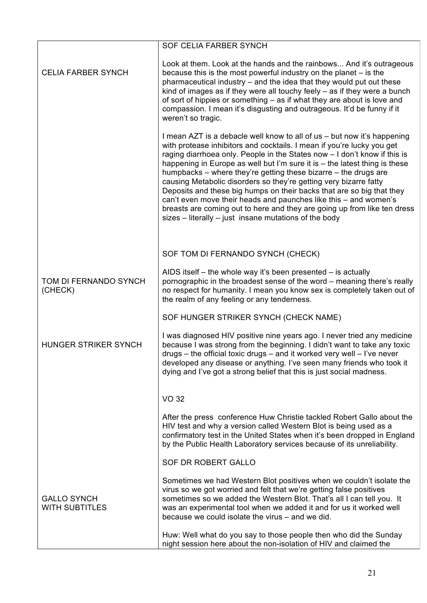|                                             | <b>SOF CELIA FARBER SYNCH</b>                                                                                                                                                                                                                                                                                                                                                                                                                                                                                                                                                                                                                                                                                                            |
|---------------------------------------------|------------------------------------------------------------------------------------------------------------------------------------------------------------------------------------------------------------------------------------------------------------------------------------------------------------------------------------------------------------------------------------------------------------------------------------------------------------------------------------------------------------------------------------------------------------------------------------------------------------------------------------------------------------------------------------------------------------------------------------------|
| <b>CELIA FARBER SYNCH</b>                   | Look at them. Look at the hands and the rainbows And it's outrageous<br>because this is the most powerful industry on the planet $-$ is the<br>pharmaceutical industry – and the idea that they would put out these<br>kind of images as if they were all touchy feely $-$ as if they were a bunch<br>of sort of hippies or something – as if what they are about is love and<br>compassion. I mean it's disgusting and outrageous. It'd be funny if it<br>weren't so tragic.                                                                                                                                                                                                                                                            |
|                                             | I mean AZT is a debacle well know to all of us - but now it's happening<br>with protease inhibitors and cocktails. I mean if you're lucky you get<br>raging diarrhoea only. People in the States now - I don't know if this is<br>happening in Europe as well but I'm sure it is – the latest thing is these<br>humpbacks – where they're getting these bizarre – the drugs are<br>causing Metabolic disorders so they're getting very bizarre fatty<br>Deposits and these big humps on their backs that are so big that they<br>can't even move their heads and paunches like this – and women's<br>breasts are coming out to here and they are going up from like ten dress<br>$sizes - literally - just$ insane mutations of the body |
|                                             | SOF TOM DI FERNANDO SYNCH (CHECK)                                                                                                                                                                                                                                                                                                                                                                                                                                                                                                                                                                                                                                                                                                        |
| TOM DI FERNANDO SYNCH<br>(CHECK)            | AIDS itself – the whole way it's been presented – is actually<br>pornographic in the broadest sense of the word – meaning there's really<br>no respect for humanity. I mean you know sex is completely taken out of<br>the realm of any feeling or any tenderness.                                                                                                                                                                                                                                                                                                                                                                                                                                                                       |
|                                             | SOF HUNGER STRIKER SYNCH (CHECK NAME)                                                                                                                                                                                                                                                                                                                                                                                                                                                                                                                                                                                                                                                                                                    |
| HUNGER STRIKER SYNCH                        | I was diagnosed HIV positive nine years ago. I never tried any medicine<br>because I was strong from the beginning. I didn't want to take any toxic<br>$drugs - the official toxic drugs - and it worked very well - l've never$<br>developed any disease or anything. I've seen many friends who took it<br>dying and I've got a strong belief that this is just social madness.                                                                                                                                                                                                                                                                                                                                                        |
|                                             | <b>VO 32</b>                                                                                                                                                                                                                                                                                                                                                                                                                                                                                                                                                                                                                                                                                                                             |
|                                             | After the press conference Huw Christie tackled Robert Gallo about the<br>HIV test and why a version called Western Blot is being used as a<br>confirmatory test in the United States when it's been dropped in England<br>by the Public Health Laboratory services because of its unreliability.                                                                                                                                                                                                                                                                                                                                                                                                                                        |
|                                             | SOF DR ROBERT GALLO                                                                                                                                                                                                                                                                                                                                                                                                                                                                                                                                                                                                                                                                                                                      |
| <b>GALLO SYNCH</b><br><b>WITH SUBTITLES</b> | Sometimes we had Western Blot positives when we couldn't isolate the<br>virus so we got worried and felt that we're getting false positives<br>sometimes so we added the Western Blot. That's all I can tell you. It<br>was an experimental tool when we added it and for us it worked well<br>because we could isolate the virus – and we did.                                                                                                                                                                                                                                                                                                                                                                                          |
|                                             | Huw: Well what do you say to those people then who did the Sunday<br>night session here about the non-isolation of HIV and claimed the                                                                                                                                                                                                                                                                                                                                                                                                                                                                                                                                                                                                   |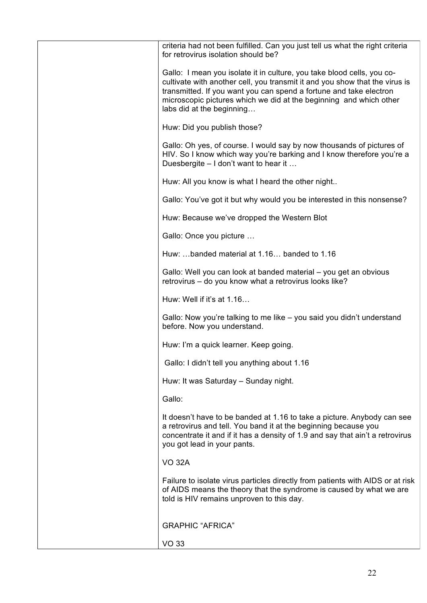| criteria had not been fulfilled. Can you just tell us what the right criteria<br>for retrovirus isolation should be?                                                                                                                                                                                                           |
|--------------------------------------------------------------------------------------------------------------------------------------------------------------------------------------------------------------------------------------------------------------------------------------------------------------------------------|
| Gallo: I mean you isolate it in culture, you take blood cells, you co-<br>cultivate with another cell, you transmit it and you show that the virus is<br>transmitted. If you want you can spend a fortune and take electron<br>microscopic pictures which we did at the beginning and which other<br>labs did at the beginning |
| Huw: Did you publish those?                                                                                                                                                                                                                                                                                                    |
| Gallo: Oh yes, of course. I would say by now thousands of pictures of<br>HIV. So I know which way you're barking and I know therefore you're a<br>Duesbergite - I don't want to hear it                                                                                                                                        |
| Huw: All you know is what I heard the other night                                                                                                                                                                                                                                                                              |
| Gallo: You've got it but why would you be interested in this nonsense?                                                                                                                                                                                                                                                         |
| Huw: Because we've dropped the Western Blot                                                                                                                                                                                                                                                                                    |
| Gallo: Once you picture                                                                                                                                                                                                                                                                                                        |
| Huw: banded material at 1.16 banded to 1.16                                                                                                                                                                                                                                                                                    |
| Gallo: Well you can look at banded material – you get an obvious<br>retrovirus - do you know what a retrovirus looks like?                                                                                                                                                                                                     |
| Huw: Well if it's at 1.16                                                                                                                                                                                                                                                                                                      |
| Gallo: Now you're talking to me like – you said you didn't understand<br>before. Now you understand.                                                                                                                                                                                                                           |
| Huw: I'm a quick learner. Keep going.                                                                                                                                                                                                                                                                                          |
| Gallo: I didn't tell you anything about 1.16                                                                                                                                                                                                                                                                                   |
| Huw: It was Saturday - Sunday night.                                                                                                                                                                                                                                                                                           |
| Gallo:                                                                                                                                                                                                                                                                                                                         |
| It doesn't have to be banded at 1.16 to take a picture. Anybody can see<br>a retrovirus and tell. You band it at the beginning because you<br>concentrate it and if it has a density of 1.9 and say that ain't a retrovirus<br>you got lead in your pants.                                                                     |
| <b>VO 32A</b>                                                                                                                                                                                                                                                                                                                  |
| Failure to isolate virus particles directly from patients with AIDS or at risk<br>of AIDS means the theory that the syndrome is caused by what we are<br>told is HIV remains unproven to this day.                                                                                                                             |
| <b>GRAPHIC "AFRICA"</b>                                                                                                                                                                                                                                                                                                        |
| <b>VO 33</b>                                                                                                                                                                                                                                                                                                                   |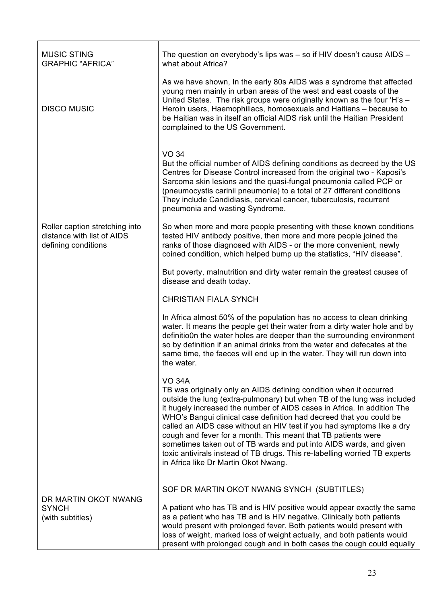| <b>MUSIC STING</b><br><b>GRAPHIC "AFRICA"</b>                                       | The question on everybody's lips was - so if HIV doesn't cause AIDS -<br>what about Africa?                                                                                                                                                                                                                                                                                                                                                                                                                                                                                                                                                             |
|-------------------------------------------------------------------------------------|---------------------------------------------------------------------------------------------------------------------------------------------------------------------------------------------------------------------------------------------------------------------------------------------------------------------------------------------------------------------------------------------------------------------------------------------------------------------------------------------------------------------------------------------------------------------------------------------------------------------------------------------------------|
| <b>DISCO MUSIC</b>                                                                  | As we have shown, In the early 80s AIDS was a syndrome that affected<br>young men mainly in urban areas of the west and east coasts of the<br>United States. The risk groups were originally known as the four 'H's -<br>Heroin users, Haemophiliacs, homosexuals and Haitians - because to<br>be Haitian was in itself an official AIDS risk until the Haitian President<br>complained to the US Government.                                                                                                                                                                                                                                           |
|                                                                                     | <b>VO 34</b><br>But the official number of AIDS defining conditions as decreed by the US<br>Centres for Disease Control increased from the original two - Kaposi's<br>Sarcoma skin lesions and the quasi-fungal pneumonia called PCP or<br>(pneumocystis carinii pneumonia) to a total of 27 different conditions<br>They include Candidiasis, cervical cancer, tuberculosis, recurrent<br>pneumonia and wasting Syndrome.                                                                                                                                                                                                                              |
| Roller caption stretching into<br>distance with list of AIDS<br>defining conditions | So when more and more people presenting with these known conditions<br>tested HIV antibody positive, then more and more people joined the<br>ranks of those diagnosed with AIDS - or the more convenient, newly<br>coined condition, which helped bump up the statistics, "HIV disease".                                                                                                                                                                                                                                                                                                                                                                |
|                                                                                     | But poverty, malnutrition and dirty water remain the greatest causes of<br>disease and death today.                                                                                                                                                                                                                                                                                                                                                                                                                                                                                                                                                     |
|                                                                                     | <b>CHRISTIAN FIALA SYNCH</b>                                                                                                                                                                                                                                                                                                                                                                                                                                                                                                                                                                                                                            |
|                                                                                     | In Africa almost 50% of the population has no access to clean drinking<br>water. It means the people get their water from a dirty water hole and by<br>definitio0n the water holes are deeper than the surrounding environment<br>so by definition if an animal drinks from the water and defecates at the<br>same time, the faeces will end up in the water. They will run down into<br>the water.                                                                                                                                                                                                                                                     |
|                                                                                     | <b>VO 34A</b><br>TB was originally only an AIDS defining condition when it occurred<br>outside the lung (extra-pulmonary) but when TB of the lung was included<br>it hugely increased the number of AIDS cases in Africa. In addition The<br>WHO's Bangui clinical case definition had decreed that you could be<br>called an AIDS case without an HIV test if you had symptoms like a dry<br>cough and fever for a month. This meant that TB patients were<br>sometimes taken out of TB wards and put into AIDS wards, and given<br>toxic antivirals instead of TB drugs. This re-labelling worried TB experts<br>in Africa like Dr Martin Okot Nwang. |
| DR MARTIN OKOT NWANG                                                                | SOF DR MARTIN OKOT NWANG SYNCH (SUBTITLES)                                                                                                                                                                                                                                                                                                                                                                                                                                                                                                                                                                                                              |
| <b>SYNCH</b><br>(with subtitles)                                                    | A patient who has TB and is HIV positive would appear exactly the same<br>as a patient who has TB and is HIV negative. Clinically both patients<br>would present with prolonged fever. Both patients would present with<br>loss of weight, marked loss of weight actually, and both patients would<br>present with prolonged cough and in both cases the cough could equally                                                                                                                                                                                                                                                                            |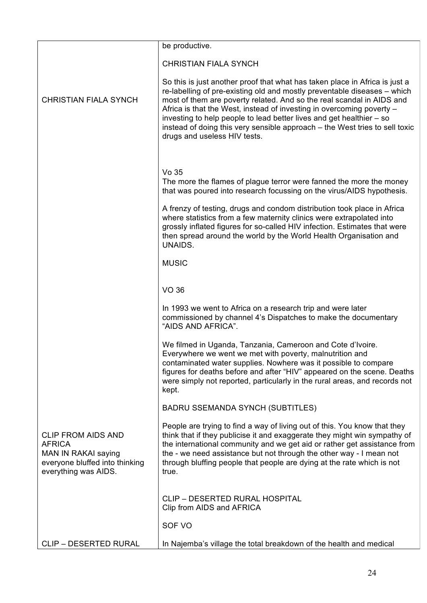|                                                                                                                             | be productive.                                                                                                                                                                                                                                                                                                                                                                                                                                                                                   |
|-----------------------------------------------------------------------------------------------------------------------------|--------------------------------------------------------------------------------------------------------------------------------------------------------------------------------------------------------------------------------------------------------------------------------------------------------------------------------------------------------------------------------------------------------------------------------------------------------------------------------------------------|
|                                                                                                                             | <b>CHRISTIAN FIALA SYNCH</b>                                                                                                                                                                                                                                                                                                                                                                                                                                                                     |
| <b>CHRISTIAN FIALA SYNCH</b>                                                                                                | So this is just another proof that what has taken place in Africa is just a<br>re-labelling of pre-existing old and mostly preventable diseases – which<br>most of them are poverty related. And so the real scandal in AIDS and<br>Africa is that the West, instead of investing in overcoming poverty -<br>investing to help people to lead better lives and get healthier – so<br>instead of doing this very sensible approach – the West tries to sell toxic<br>drugs and useless HIV tests. |
|                                                                                                                             |                                                                                                                                                                                                                                                                                                                                                                                                                                                                                                  |
|                                                                                                                             | Vo 35<br>The more the flames of plague terror were fanned the more the money<br>that was poured into research focussing on the virus/AIDS hypothesis.                                                                                                                                                                                                                                                                                                                                            |
|                                                                                                                             | A frenzy of testing, drugs and condom distribution took place in Africa<br>where statistics from a few maternity clinics were extrapolated into<br>grossly inflated figures for so-called HIV infection. Estimates that were<br>then spread around the world by the World Health Organisation and<br>UNAIDS.                                                                                                                                                                                     |
|                                                                                                                             | <b>MUSIC</b>                                                                                                                                                                                                                                                                                                                                                                                                                                                                                     |
|                                                                                                                             |                                                                                                                                                                                                                                                                                                                                                                                                                                                                                                  |
|                                                                                                                             | <b>VO 36</b>                                                                                                                                                                                                                                                                                                                                                                                                                                                                                     |
|                                                                                                                             | In 1993 we went to Africa on a research trip and were later<br>commissioned by channel 4's Dispatches to make the documentary<br>"AIDS AND AFRICA".                                                                                                                                                                                                                                                                                                                                              |
|                                                                                                                             | We filmed in Uganda, Tanzania, Cameroon and Cote d'Ivoire.<br>Everywhere we went we met with poverty, malnutrition and<br>contaminated water supplies. Nowhere was it possible to compare<br>figures for deaths before and after "HIV" appeared on the scene. Deaths<br>were simply not reported, particularly in the rural areas, and records not<br>kept.                                                                                                                                      |
|                                                                                                                             | <b>BADRU SSEMANDA SYNCH (SUBTITLES)</b>                                                                                                                                                                                                                                                                                                                                                                                                                                                          |
| <b>CLIP FROM AIDS AND</b><br><b>AFRICA</b><br>MAN IN RAKAI saying<br>everyone bluffed into thinking<br>everything was AIDS. | People are trying to find a way of living out of this. You know that they<br>think that if they publicise it and exaggerate they might win sympathy of<br>the international community and we get aid or rather get assistance from<br>the - we need assistance but not through the other way - I mean not<br>through bluffing people that people are dying at the rate which is not<br>true.                                                                                                     |
|                                                                                                                             | <b>CLIP - DESERTED RURAL HOSPITAL</b><br>Clip from AIDS and AFRICA                                                                                                                                                                                                                                                                                                                                                                                                                               |
|                                                                                                                             | SOF VO                                                                                                                                                                                                                                                                                                                                                                                                                                                                                           |
| <b>CLIP - DESERTED RURAL</b>                                                                                                | In Najemba's village the total breakdown of the health and medical                                                                                                                                                                                                                                                                                                                                                                                                                               |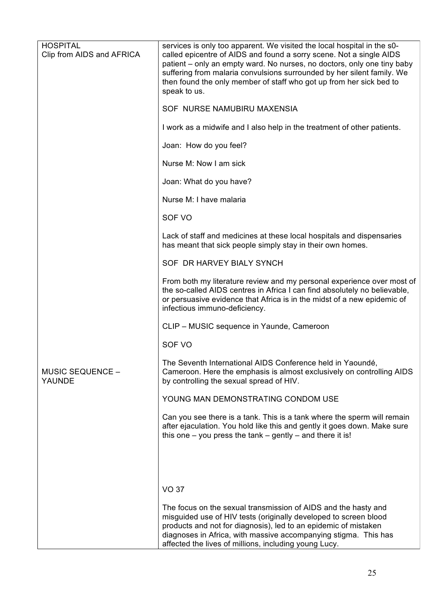| <b>HOSPITAL</b><br>Clip from AIDS and AFRICA | services is only too apparent. We visited the local hospital in the s0-<br>called epicentre of AIDS and found a sorry scene. Not a single AIDS<br>patient – only an empty ward. No nurses, no doctors, only one tiny baby<br>suffering from malaria convulsions surrounded by her silent family. We<br>then found the only member of staff who got up from her sick bed to<br>speak to us. |
|----------------------------------------------|--------------------------------------------------------------------------------------------------------------------------------------------------------------------------------------------------------------------------------------------------------------------------------------------------------------------------------------------------------------------------------------------|
|                                              | SOF NURSE NAMUBIRU MAXENSIA                                                                                                                                                                                                                                                                                                                                                                |
|                                              | I work as a midwife and I also help in the treatment of other patients.                                                                                                                                                                                                                                                                                                                    |
|                                              | Joan: How do you feel?                                                                                                                                                                                                                                                                                                                                                                     |
|                                              | Nurse M: Now I am sick                                                                                                                                                                                                                                                                                                                                                                     |
|                                              | Joan: What do you have?                                                                                                                                                                                                                                                                                                                                                                    |
|                                              | Nurse M: I have malaria                                                                                                                                                                                                                                                                                                                                                                    |
|                                              | SOF VO                                                                                                                                                                                                                                                                                                                                                                                     |
|                                              | Lack of staff and medicines at these local hospitals and dispensaries<br>has meant that sick people simply stay in their own homes.                                                                                                                                                                                                                                                        |
|                                              | SOF DR HARVEY BIALY SYNCH                                                                                                                                                                                                                                                                                                                                                                  |
|                                              | From both my literature review and my personal experience over most of<br>the so-called AIDS centres in Africa I can find absolutely no believable,<br>or persuasive evidence that Africa is in the midst of a new epidemic of<br>infectious immuno-deficiency.                                                                                                                            |
|                                              | CLIP - MUSIC sequence in Yaunde, Cameroon                                                                                                                                                                                                                                                                                                                                                  |
|                                              | SOF VO                                                                                                                                                                                                                                                                                                                                                                                     |
| <b>MUSIC SEQUENCE -</b><br>YAUNDE            | The Seventh International AIDS Conference held in Yaoundé,<br>Cameroon. Here the emphasis is almost exclusively on controlling AIDS<br>by controlling the sexual spread of HIV.                                                                                                                                                                                                            |
|                                              | YOUNG MAN DEMONSTRATING CONDOM USE                                                                                                                                                                                                                                                                                                                                                         |
|                                              | Can you see there is a tank. This is a tank where the sperm will remain<br>after ejaculation. You hold like this and gently it goes down. Make sure<br>this one $-$ you press the tank $-$ gently $-$ and there it is!                                                                                                                                                                     |
|                                              |                                                                                                                                                                                                                                                                                                                                                                                            |
|                                              | <b>VO 37</b>                                                                                                                                                                                                                                                                                                                                                                               |
|                                              | The focus on the sexual transmission of AIDS and the hasty and<br>misquided use of HIV tests (originally developed to screen blood<br>products and not for diagnosis), led to an epidemic of mistaken<br>diagnoses in Africa, with massive accompanying stigma. This has<br>affected the lives of millions, including young Lucy.                                                          |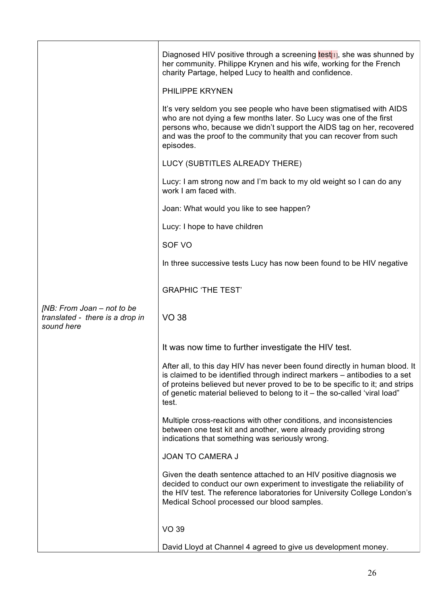|                                                                             | Diagnosed HIV positive through a screening $test_{[1]}$ , she was shunned by<br>her community. Philippe Krynen and his wife, working for the French<br>charity Partage, helped Lucy to health and confidence.                                                                                                                   |
|-----------------------------------------------------------------------------|---------------------------------------------------------------------------------------------------------------------------------------------------------------------------------------------------------------------------------------------------------------------------------------------------------------------------------|
|                                                                             | <b>PHILIPPE KRYNEN</b>                                                                                                                                                                                                                                                                                                          |
|                                                                             | It's very seldom you see people who have been stigmatised with AIDS<br>who are not dying a few months later. So Lucy was one of the first<br>persons who, because we didn't support the AIDS tag on her, recovered<br>and was the proof to the community that you can recover from such<br>episodes.                            |
|                                                                             | LUCY (SUBTITLES ALREADY THERE)                                                                                                                                                                                                                                                                                                  |
|                                                                             | Lucy: I am strong now and I'm back to my old weight so I can do any<br>work I am faced with.                                                                                                                                                                                                                                    |
|                                                                             | Joan: What would you like to see happen?                                                                                                                                                                                                                                                                                        |
|                                                                             | Lucy: I hope to have children                                                                                                                                                                                                                                                                                                   |
|                                                                             | SOF VO                                                                                                                                                                                                                                                                                                                          |
|                                                                             | In three successive tests Lucy has now been found to be HIV negative                                                                                                                                                                                                                                                            |
|                                                                             | <b>GRAPHIC 'THE TEST'</b>                                                                                                                                                                                                                                                                                                       |
| [NB: From Joan - not to be<br>translated - there is a drop in<br>sound here | <b>VO 38</b>                                                                                                                                                                                                                                                                                                                    |
|                                                                             | It was now time to further investigate the HIV test.                                                                                                                                                                                                                                                                            |
|                                                                             | After all, to this day HIV has never been found directly in human blood. It<br>is claimed to be identified through indirect markers – antibodies to a set<br>of proteins believed but never proved to be to be specific to it; and strips<br>of genetic material believed to belong to it - the so-called 'viral load"<br>test. |
|                                                                             | Multiple cross-reactions with other conditions, and inconsistencies<br>between one test kit and another, were already providing strong<br>indications that something was seriously wrong.                                                                                                                                       |
|                                                                             | <b>JOAN TO CAMERA J</b>                                                                                                                                                                                                                                                                                                         |
|                                                                             | Given the death sentence attached to an HIV positive diagnosis we<br>decided to conduct our own experiment to investigate the reliability of<br>the HIV test. The reference laboratories for University College London's<br>Medical School processed our blood samples.                                                         |
|                                                                             | <b>VO 39</b>                                                                                                                                                                                                                                                                                                                    |
|                                                                             | David Lloyd at Channel 4 agreed to give us development money.                                                                                                                                                                                                                                                                   |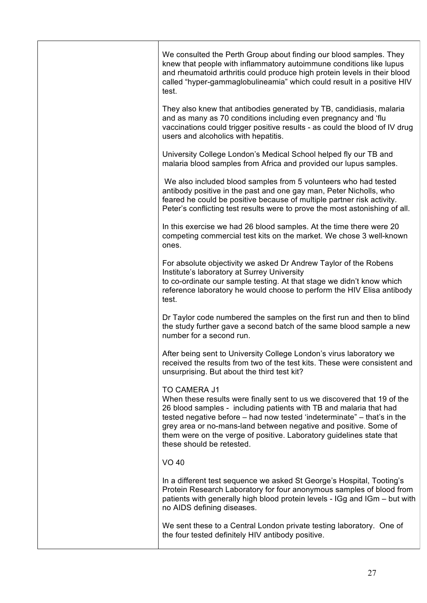|  | We consulted the Perth Group about finding our blood samples. They<br>knew that people with inflammatory autoimmune conditions like lupus<br>and rheumatoid arthritis could produce high protein levels in their blood<br>called "hyper-gammaglobulineamia" which could result in a positive HIV<br>test.                                                                                                                |
|--|--------------------------------------------------------------------------------------------------------------------------------------------------------------------------------------------------------------------------------------------------------------------------------------------------------------------------------------------------------------------------------------------------------------------------|
|  | They also knew that antibodies generated by TB, candidiasis, malaria<br>and as many as 70 conditions including even pregnancy and 'flu<br>vaccinations could trigger positive results - as could the blood of IV drug<br>users and alcoholics with hepatitis.                                                                                                                                                            |
|  | University College London's Medical School helped fly our TB and<br>malaria blood samples from Africa and provided our lupus samples.                                                                                                                                                                                                                                                                                    |
|  | We also included blood samples from 5 volunteers who had tested<br>antibody positive in the past and one gay man, Peter Nicholls, who<br>feared he could be positive because of multiple partner risk activity.<br>Peter's conflicting test results were to prove the most astonishing of all.                                                                                                                           |
|  | In this exercise we had 26 blood samples. At the time there were 20<br>competing commercial test kits on the market. We chose 3 well-known<br>ones.                                                                                                                                                                                                                                                                      |
|  | For absolute objectivity we asked Dr Andrew Taylor of the Robens<br>Institute's laboratory at Surrey University<br>to co-ordinate our sample testing. At that stage we didn't know which<br>reference laboratory he would choose to perform the HIV Elisa antibody<br>test.                                                                                                                                              |
|  | Dr Taylor code numbered the samples on the first run and then to blind<br>the study further gave a second batch of the same blood sample a new<br>number for a second run.                                                                                                                                                                                                                                               |
|  | After being sent to University College London's virus laboratory we<br>received the results from two of the test kits. These were consistent and<br>unsurprising. But about the third test kit?                                                                                                                                                                                                                          |
|  | <b>TO CAMERA J1</b><br>When these results were finally sent to us we discovered that 19 of the<br>26 blood samples - including patients with TB and malaria that had<br>tested negative before – had now tested 'indeterminate" – that's in the<br>grey area or no-mans-land between negative and positive. Some of<br>them were on the verge of positive. Laboratory guidelines state that<br>these should be retested. |
|  | <b>VO 40</b>                                                                                                                                                                                                                                                                                                                                                                                                             |
|  | In a different test sequence we asked St George's Hospital, Tooting's<br>Protein Research Laboratory for four anonymous samples of blood from<br>patients with generally high blood protein levels - IGg and IGm - but with<br>no AIDS defining diseases.                                                                                                                                                                |
|  | We sent these to a Central London private testing laboratory. One of<br>the four tested definitely HIV antibody positive.                                                                                                                                                                                                                                                                                                |
|  |                                                                                                                                                                                                                                                                                                                                                                                                                          |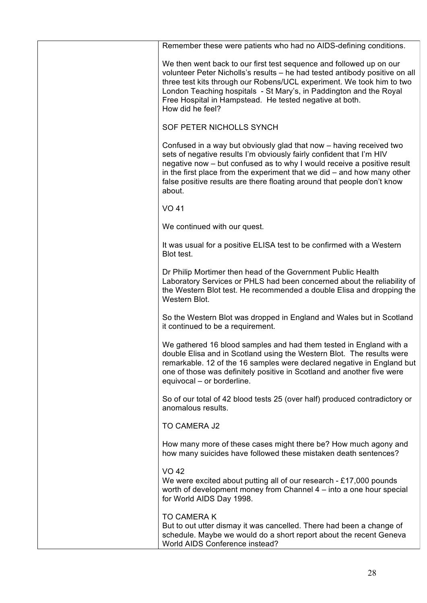| Remember these were patients who had no AIDS-defining conditions.                                                                                                                                                                                                                                                                                                                        |
|------------------------------------------------------------------------------------------------------------------------------------------------------------------------------------------------------------------------------------------------------------------------------------------------------------------------------------------------------------------------------------------|
| We then went back to our first test sequence and followed up on our<br>volunteer Peter Nicholls's results - he had tested antibody positive on all<br>three test kits through our Robens/UCL experiment. We took him to two<br>London Teaching hospitals - St Mary's, in Paddington and the Royal<br>Free Hospital in Hampstead. He tested negative at both.<br>How did he feel?         |
| SOF PETER NICHOLLS SYNCH                                                                                                                                                                                                                                                                                                                                                                 |
| Confused in a way but obviously glad that now - having received two<br>sets of negative results I'm obviously fairly confident that I'm HIV<br>negative now – but confused as to why I would receive a positive result<br>in the first place from the experiment that we did $-$ and how many other<br>false positive results are there floating around that people don't know<br>about. |
| <b>VO 41</b>                                                                                                                                                                                                                                                                                                                                                                             |
| We continued with our quest.                                                                                                                                                                                                                                                                                                                                                             |
| It was usual for a positive ELISA test to be confirmed with a Western<br>Blot test.                                                                                                                                                                                                                                                                                                      |
| Dr Philip Mortimer then head of the Government Public Health<br>Laboratory Services or PHLS had been concerned about the reliability of<br>the Western Blot test. He recommended a double Elisa and dropping the<br>Western Blot.                                                                                                                                                        |
| So the Western Blot was dropped in England and Wales but in Scotland<br>it continued to be a requirement.                                                                                                                                                                                                                                                                                |
| We gathered 16 blood samples and had them tested in England with a<br>double Elisa and in Scotland using the Western Blot. The results were<br>remarkable. 12 of the 16 samples were declared negative in England but<br>one of those was definitely positive in Scotland and another five were<br>equivocal – or borderline.                                                            |
| So of our total of 42 blood tests 25 (over half) produced contradictory or<br>anomalous results.                                                                                                                                                                                                                                                                                         |
| TO CAMERA J2                                                                                                                                                                                                                                                                                                                                                                             |
| How many more of these cases might there be? How much agony and<br>how many suicides have followed these mistaken death sentences?                                                                                                                                                                                                                                                       |
| <b>VO 42</b><br>We were excited about putting all of our research - £17,000 pounds<br>worth of development money from Channel 4 – into a one hour special<br>for World AIDS Day 1998.                                                                                                                                                                                                    |
| <b>TO CAMERA K</b><br>But to out utter dismay it was cancelled. There had been a change of<br>schedule. Maybe we would do a short report about the recent Geneva<br>World AIDS Conference instead?                                                                                                                                                                                       |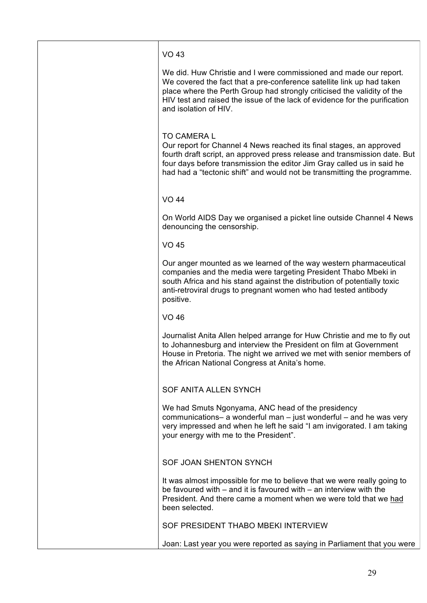# VO 43

We did. Huw Christie and I were commissioned and made our report. We covered the fact that a pre-conference satellite link up had taken place where the Perth Group had strongly criticised the validity of the HIV test and raised the issue of the lack of evidence for the purification and isolation of HIV.

### TO CAMERA L

Our report for Channel 4 News reached its final stages, an approved fourth draft script, an approved press release and transmission date. But four days before transmission the editor Jim Gray called us in said he had had a "tectonic shift" and would not be transmitting the programme.

VO 44

On World AIDS Day we organised a picket line outside Channel 4 News denouncing the censorship.

VO 45

Our anger mounted as we learned of the way western pharmaceutical companies and the media were targeting President Thabo Mbeki in south Africa and his stand against the distribution of potentially toxic anti-retroviral drugs to pregnant women who had tested antibody positive.

VO 46

Journalist Anita Allen helped arrange for Huw Christie and me to fly out to Johannesburg and interview the President on film at Government House in Pretoria. The night we arrived we met with senior members of the African National Congress at Anita's home.

# SOF ANITA ALLEN SYNCH

We had Smuts Ngonyama, ANC head of the presidency communications– a wonderful man – just wonderful – and he was very very impressed and when he left he said "I am invigorated. I am taking your energy with me to the President".

# SOF JOAN SHENTON SYNCH

It was almost impossible for me to believe that we were really going to be favoured with – and it is favoured with – an interview with the President. And there came a moment when we were told that we had been selected.

SOF PRESIDENT THABO MBEKI INTERVIEW

Joan: Last year you were reported as saying in Parliament that you were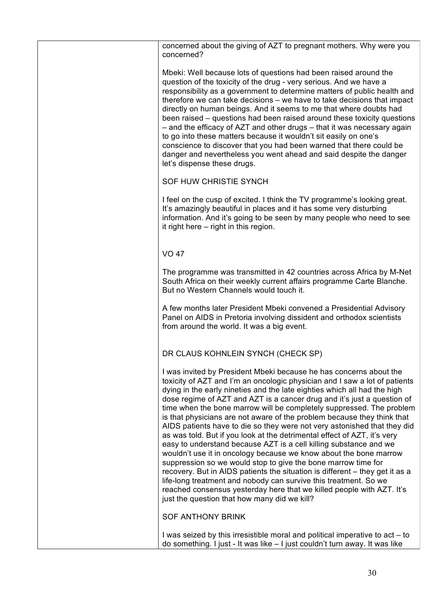| concerned about the giving of AZT to pregnant mothers. Why were you<br>concerned?                                                                                                                                                                                                                                                                                                                                                                                                                                                                                                                                                                                                                                                                                                                                                                                                                                                                                                                                                                                                                          |
|------------------------------------------------------------------------------------------------------------------------------------------------------------------------------------------------------------------------------------------------------------------------------------------------------------------------------------------------------------------------------------------------------------------------------------------------------------------------------------------------------------------------------------------------------------------------------------------------------------------------------------------------------------------------------------------------------------------------------------------------------------------------------------------------------------------------------------------------------------------------------------------------------------------------------------------------------------------------------------------------------------------------------------------------------------------------------------------------------------|
| Mbeki: Well because lots of questions had been raised around the<br>question of the toxicity of the drug - very serious. And we have a<br>responsibility as a government to determine matters of public health and<br>therefore we can take decisions – we have to take decisions that impact<br>directly on human beings. And it seems to me that where doubts had<br>been raised – questions had been raised around these toxicity questions<br>- and the efficacy of AZT and other drugs - that it was necessary again<br>to go into these matters because it wouldn't sit easily on one's<br>conscience to discover that you had been warned that there could be<br>danger and nevertheless you went ahead and said despite the danger<br>let's dispense these drugs.                                                                                                                                                                                                                                                                                                                                  |
| SOF HUW CHRISTIE SYNCH                                                                                                                                                                                                                                                                                                                                                                                                                                                                                                                                                                                                                                                                                                                                                                                                                                                                                                                                                                                                                                                                                     |
| I feel on the cusp of excited. I think the TV programme's looking great.<br>It's amazingly beautiful in places and it has some very disturbing<br>information. And it's going to be seen by many people who need to see<br>it right here $-$ right in this region.                                                                                                                                                                                                                                                                                                                                                                                                                                                                                                                                                                                                                                                                                                                                                                                                                                         |
| <b>VO 47</b>                                                                                                                                                                                                                                                                                                                                                                                                                                                                                                                                                                                                                                                                                                                                                                                                                                                                                                                                                                                                                                                                                               |
| The programme was transmitted in 42 countries across Africa by M-Net<br>South Africa on their weekly current affairs programme Carte Blanche.<br>But no Western Channels would touch it.                                                                                                                                                                                                                                                                                                                                                                                                                                                                                                                                                                                                                                                                                                                                                                                                                                                                                                                   |
| A few months later President Mbeki convened a Presidential Advisory<br>Panel on AIDS in Pretoria involving dissident and orthodox scientists<br>from around the world. It was a big event.                                                                                                                                                                                                                                                                                                                                                                                                                                                                                                                                                                                                                                                                                                                                                                                                                                                                                                                 |
| DR CLAUS KOHNLEIN SYNCH (CHECK SP)                                                                                                                                                                                                                                                                                                                                                                                                                                                                                                                                                                                                                                                                                                                                                                                                                                                                                                                                                                                                                                                                         |
| I was invited by President Mbeki because he has concerns about the<br>toxicity of AZT and I'm an oncologic physician and I saw a lot of patients<br>dying in the early nineties and the late eighties which all had the high<br>dose regime of AZT and AZT is a cancer drug and it's just a question of<br>time when the bone marrow will be completely suppressed. The problem<br>is that physicians are not aware of the problem because they think that<br>AIDS patients have to die so they were not very astonished that they did<br>as was told. But if you look at the detrimental effect of AZT, it's very<br>easy to understand because AZT is a cell killing substance and we<br>wouldn't use it in oncology because we know about the bone marrow<br>suppression so we would stop to give the bone marrow time for<br>recovery. But in AIDS patients the situation is different – they get it as a<br>life-long treatment and nobody can survive this treatment. So we<br>reached consensus yesterday here that we killed people with AZT. It's<br>just the question that how many did we kill? |
| <b>SOF ANTHONY BRINK</b>                                                                                                                                                                                                                                                                                                                                                                                                                                                                                                                                                                                                                                                                                                                                                                                                                                                                                                                                                                                                                                                                                   |
| I was seized by this irresistible moral and political imperative to act – to<br>do something. I just - It was like - I just couldn't turn away. It was like                                                                                                                                                                                                                                                                                                                                                                                                                                                                                                                                                                                                                                                                                                                                                                                                                                                                                                                                                |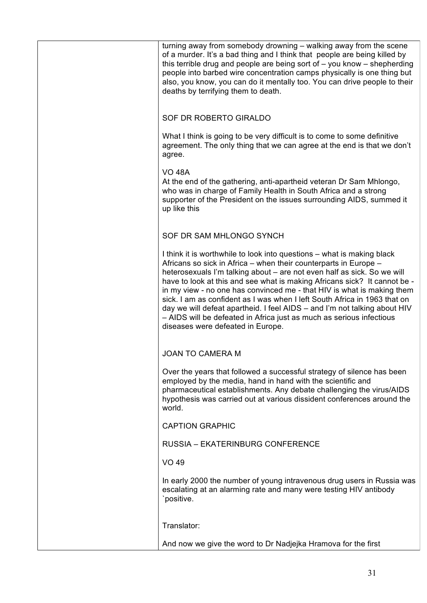| turning away from somebody drowning - walking away from the scene<br>of a murder. It's a bad thing and I think that people are being killed by<br>this terrible drug and people are being sort of $-$ you know $-$ shepherding<br>people into barbed wire concentration camps physically is one thing but<br>also, you know, you can do it mentally too. You can drive people to their<br>deaths by terrifying them to death.                                                                                                                                                                                                                       |
|-----------------------------------------------------------------------------------------------------------------------------------------------------------------------------------------------------------------------------------------------------------------------------------------------------------------------------------------------------------------------------------------------------------------------------------------------------------------------------------------------------------------------------------------------------------------------------------------------------------------------------------------------------|
| SOF DR ROBERTO GIRALDO                                                                                                                                                                                                                                                                                                                                                                                                                                                                                                                                                                                                                              |
| What I think is going to be very difficult is to come to some definitive<br>agreement. The only thing that we can agree at the end is that we don't<br>agree.                                                                                                                                                                                                                                                                                                                                                                                                                                                                                       |
| <b>VO 48A</b><br>At the end of the gathering, anti-apartheid veteran Dr Sam Mhlongo,<br>who was in charge of Family Health in South Africa and a strong<br>supporter of the President on the issues surrounding AIDS, summed it<br>up like this                                                                                                                                                                                                                                                                                                                                                                                                     |
| SOF DR SAM MHLONGO SYNCH                                                                                                                                                                                                                                                                                                                                                                                                                                                                                                                                                                                                                            |
| I think it is worthwhile to look into questions – what is making black<br>Africans so sick in Africa – when their counterparts in Europe –<br>heterosexuals I'm talking about - are not even half as sick. So we will<br>have to look at this and see what is making Africans sick? It cannot be -<br>in my view - no one has convinced me - that HIV is what is making them<br>sick. I am as confident as I was when I left South Africa in 1963 that on<br>day we will defeat apartheid. I feel AIDS – and I'm not talking about HIV<br>- AIDS will be defeated in Africa just as much as serious infectious<br>diseases were defeated in Europe. |
| <b>JOAN TO CAMERA M</b>                                                                                                                                                                                                                                                                                                                                                                                                                                                                                                                                                                                                                             |
| Over the years that followed a successful strategy of silence has been<br>employed by the media, hand in hand with the scientific and<br>pharmaceutical establishments. Any debate challenging the virus/AIDS<br>hypothesis was carried out at various dissident conferences around the<br>world.                                                                                                                                                                                                                                                                                                                                                   |
| <b>CAPTION GRAPHIC</b>                                                                                                                                                                                                                                                                                                                                                                                                                                                                                                                                                                                                                              |
| <b>RUSSIA - EKATERINBURG CONFERENCE</b>                                                                                                                                                                                                                                                                                                                                                                                                                                                                                                                                                                                                             |
| <b>VO 49</b>                                                                                                                                                                                                                                                                                                                                                                                                                                                                                                                                                                                                                                        |
| In early 2000 the number of young intravenous drug users in Russia was<br>escalating at an alarming rate and many were testing HIV antibody<br>`positive.                                                                                                                                                                                                                                                                                                                                                                                                                                                                                           |
| Translator:                                                                                                                                                                                                                                                                                                                                                                                                                                                                                                                                                                                                                                         |
| And now we give the word to Dr Nadjejka Hramova for the first                                                                                                                                                                                                                                                                                                                                                                                                                                                                                                                                                                                       |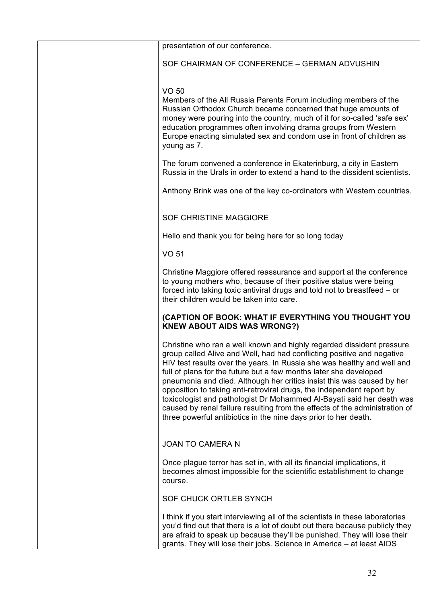| presentation of our conference.                                                                                                                                                                                                                                                                                                                                                                                                                                                                                                                                                                                                                                               |
|-------------------------------------------------------------------------------------------------------------------------------------------------------------------------------------------------------------------------------------------------------------------------------------------------------------------------------------------------------------------------------------------------------------------------------------------------------------------------------------------------------------------------------------------------------------------------------------------------------------------------------------------------------------------------------|
| SOF CHAIRMAN OF CONFERENCE - GERMAN ADVUSHIN                                                                                                                                                                                                                                                                                                                                                                                                                                                                                                                                                                                                                                  |
| VO 50<br>Members of the All Russia Parents Forum including members of the<br>Russian Orthodox Church became concerned that huge amounts of<br>money were pouring into the country, much of it for so-called 'safe sex'<br>education programmes often involving drama groups from Western<br>Europe enacting simulated sex and condom use in front of children as<br>young as 7.                                                                                                                                                                                                                                                                                               |
| The forum convened a conference in Ekaterinburg, a city in Eastern<br>Russia in the Urals in order to extend a hand to the dissident scientists.                                                                                                                                                                                                                                                                                                                                                                                                                                                                                                                              |
| Anthony Brink was one of the key co-ordinators with Western countries.                                                                                                                                                                                                                                                                                                                                                                                                                                                                                                                                                                                                        |
| <b>SOF CHRISTINE MAGGIORE</b>                                                                                                                                                                                                                                                                                                                                                                                                                                                                                                                                                                                                                                                 |
| Hello and thank you for being here for so long today                                                                                                                                                                                                                                                                                                                                                                                                                                                                                                                                                                                                                          |
| <b>VO 51</b>                                                                                                                                                                                                                                                                                                                                                                                                                                                                                                                                                                                                                                                                  |
| Christine Maggiore offered reassurance and support at the conference<br>to young mothers who, because of their positive status were being<br>forced into taking toxic antiviral drugs and told not to breastfeed – or<br>their children would be taken into care.                                                                                                                                                                                                                                                                                                                                                                                                             |
| (CAPTION OF BOOK: WHAT IF EVERYTHING YOU THOUGHT YOU<br><b>KNEW ABOUT AIDS WAS WRONG?)</b>                                                                                                                                                                                                                                                                                                                                                                                                                                                                                                                                                                                    |
| Christine who ran a well known and highly regarded dissident pressure<br>group called Alive and Well, had had conflicting positive and negative<br>HIV test results over the years. In Russia she was healthy and well and<br>full of plans for the future but a few months later she developed<br>pneumonia and died. Although her critics insist this was caused by her<br>opposition to taking anti-retroviral drugs, the independent report by<br>toxicologist and pathologist Dr Mohammed Al-Bayati said her death was<br>caused by renal failure resulting from the effects of the administration of<br>three powerful antibiotics in the nine days prior to her death. |
| <b>JOAN TO CAMERA N</b>                                                                                                                                                                                                                                                                                                                                                                                                                                                                                                                                                                                                                                                       |
| Once plague terror has set in, with all its financial implications, it<br>becomes almost impossible for the scientific establishment to change<br>course.                                                                                                                                                                                                                                                                                                                                                                                                                                                                                                                     |
| SOF CHUCK ORTLEB SYNCH                                                                                                                                                                                                                                                                                                                                                                                                                                                                                                                                                                                                                                                        |
| I think if you start interviewing all of the scientists in these laboratories<br>you'd find out that there is a lot of doubt out there because publicly they<br>are afraid to speak up because they'll be punished. They will lose their<br>grants. They will lose their jobs. Science in America - at least AIDS                                                                                                                                                                                                                                                                                                                                                             |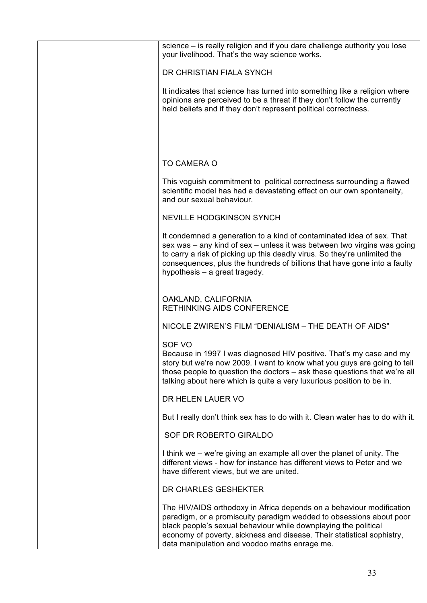| science – is really religion and if you dare challenge authority you lose<br>your livelihood. That's the way science works.                                                                                                                                                                                                                |
|--------------------------------------------------------------------------------------------------------------------------------------------------------------------------------------------------------------------------------------------------------------------------------------------------------------------------------------------|
| DR CHRISTIAN FIALA SYNCH                                                                                                                                                                                                                                                                                                                   |
| It indicates that science has turned into something like a religion where<br>opinions are perceived to be a threat if they don't follow the currently<br>held beliefs and if they don't represent political correctness.                                                                                                                   |
|                                                                                                                                                                                                                                                                                                                                            |
| <b>TO CAMERA O</b>                                                                                                                                                                                                                                                                                                                         |
| This voguish commitment to political correctness surrounding a flawed<br>scientific model has had a devastating effect on our own spontaneity,<br>and our sexual behaviour.                                                                                                                                                                |
| <b>NEVILLE HODGKINSON SYNCH</b>                                                                                                                                                                                                                                                                                                            |
| It condemned a generation to a kind of contaminated idea of sex. That<br>sex was - any kind of sex - unless it was between two virgins was going<br>to carry a risk of picking up this deadly virus. So they're unlimited the<br>consequences, plus the hundreds of billions that have gone into a faulty<br>hypothesis – a great tragedy. |
| OAKLAND, CALIFORNIA<br><b>RETHINKING AIDS CONFERENCE</b>                                                                                                                                                                                                                                                                                   |
| NICOLE ZWIREN'S FILM "DENIALISM - THE DEATH OF AIDS"                                                                                                                                                                                                                                                                                       |
| SOF VO<br>Because in 1997 I was diagnosed HIV positive. That's my case and my<br>story but we're now 2009. I want to know what you guys are going to tell<br>those people to question the doctors – ask these questions that we're all<br>talking about here which is quite a very luxurious position to be in.                            |
| DR HELEN LAUER VO                                                                                                                                                                                                                                                                                                                          |
| But I really don't think sex has to do with it. Clean water has to do with it.                                                                                                                                                                                                                                                             |
| SOF DR ROBERTO GIRALDO                                                                                                                                                                                                                                                                                                                     |
| I think we – we're giving an example all over the planet of unity. The<br>different views - how for instance has different views to Peter and we<br>have different views, but we are united.                                                                                                                                               |
| DR CHARLES GESHEKTER                                                                                                                                                                                                                                                                                                                       |
| The HIV/AIDS orthodoxy in Africa depends on a behaviour modification<br>paradigm, or a promiscuity paradigm wedded to obsessions about poor<br>black people's sexual behaviour while downplaying the political<br>economy of poverty, sickness and disease. Their statistical sophistry,<br>data manipulation and voodoo maths enrage me.  |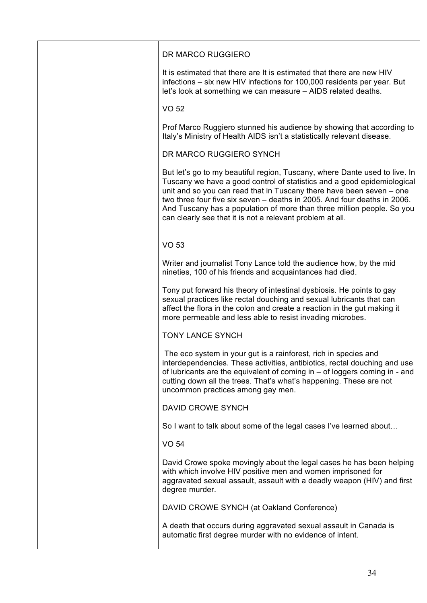| DR MARCO RUGGIERO                                                                                                                                                                                                                                                                                                                                                                                                                                |
|--------------------------------------------------------------------------------------------------------------------------------------------------------------------------------------------------------------------------------------------------------------------------------------------------------------------------------------------------------------------------------------------------------------------------------------------------|
| It is estimated that there are It is estimated that there are new HIV<br>infections – six new HIV infections for 100,000 residents per year. But<br>let's look at something we can measure - AIDS related deaths.                                                                                                                                                                                                                                |
| <b>VO 52</b>                                                                                                                                                                                                                                                                                                                                                                                                                                     |
| Prof Marco Ruggiero stunned his audience by showing that according to<br>Italy's Ministry of Health AIDS isn't a statistically relevant disease.                                                                                                                                                                                                                                                                                                 |
| DR MARCO RUGGIERO SYNCH                                                                                                                                                                                                                                                                                                                                                                                                                          |
| But let's go to my beautiful region, Tuscany, where Dante used to live. In<br>Tuscany we have a good control of statistics and a good epidemiological<br>unit and so you can read that in Tuscany there have been seven – one<br>two three four five six seven – deaths in 2005. And four deaths in 2006.<br>And Tuscany has a population of more than three million people. So you<br>can clearly see that it is not a relevant problem at all. |
| <b>VO 53</b>                                                                                                                                                                                                                                                                                                                                                                                                                                     |
| Writer and journalist Tony Lance told the audience how, by the mid<br>nineties, 100 of his friends and acquaintances had died.                                                                                                                                                                                                                                                                                                                   |
| Tony put forward his theory of intestinal dysbiosis. He points to gay<br>sexual practices like rectal douching and sexual lubricants that can<br>affect the flora in the colon and create a reaction in the gut making it<br>more permeable and less able to resist invading microbes.                                                                                                                                                           |
| <b>TONY LANCE SYNCH</b>                                                                                                                                                                                                                                                                                                                                                                                                                          |
| The eco system in your gut is a rainforest, rich in species and<br>interdependencies. These activities, antibiotics, rectal douching and use<br>of lubricants are the equivalent of coming in $-$ of loggers coming in - and<br>cutting down all the trees. That's what's happening. These are not<br>uncommon practices among gay men.                                                                                                          |
| <b>DAVID CROWE SYNCH</b>                                                                                                                                                                                                                                                                                                                                                                                                                         |
| So I want to talk about some of the legal cases I've learned about                                                                                                                                                                                                                                                                                                                                                                               |
| <b>VO 54</b>                                                                                                                                                                                                                                                                                                                                                                                                                                     |
| David Crowe spoke movingly about the legal cases he has been helping<br>with which involve HIV positive men and women imprisoned for<br>aggravated sexual assault, assault with a deadly weapon (HIV) and first<br>degree murder.                                                                                                                                                                                                                |
| DAVID CROWE SYNCH (at Oakland Conference)                                                                                                                                                                                                                                                                                                                                                                                                        |
| A death that occurs during aggravated sexual assault in Canada is<br>automatic first degree murder with no evidence of intent.                                                                                                                                                                                                                                                                                                                   |
|                                                                                                                                                                                                                                                                                                                                                                                                                                                  |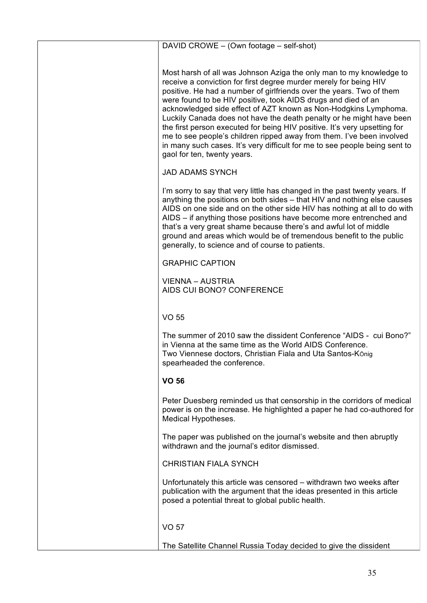| DAVID CROWE - (Own footage - self-shot)                                                                                                                                                                                                                                                                                                                                                                                                                                                                                                                                                                                                                                                         |
|-------------------------------------------------------------------------------------------------------------------------------------------------------------------------------------------------------------------------------------------------------------------------------------------------------------------------------------------------------------------------------------------------------------------------------------------------------------------------------------------------------------------------------------------------------------------------------------------------------------------------------------------------------------------------------------------------|
| Most harsh of all was Johnson Aziga the only man to my knowledge to<br>receive a conviction for first degree murder merely for being HIV<br>positive. He had a number of girlfriends over the years. Two of them<br>were found to be HIV positive, took AIDS drugs and died of an<br>acknowledged side effect of AZT known as Non-Hodgkins Lymphoma.<br>Luckily Canada does not have the death penalty or he might have been<br>the first person executed for being HIV positive. It's very upsetting for<br>me to see people's children ripped away from them. I've been involved<br>in many such cases. It's very difficult for me to see people being sent to<br>gaol for ten, twenty years. |
| <b>JAD ADAMS SYNCH</b>                                                                                                                                                                                                                                                                                                                                                                                                                                                                                                                                                                                                                                                                          |
| I'm sorry to say that very little has changed in the past twenty years. If<br>anything the positions on both sides – that HIV and nothing else causes<br>AIDS on one side and on the other side HIV has nothing at all to do with<br>AIDS – if anything those positions have become more entrenched and<br>that's a very great shame because there's and awful lot of middle<br>ground and areas which would be of tremendous benefit to the public<br>generally, to science and of course to patients.                                                                                                                                                                                         |
| <b>GRAPHIC CAPTION</b>                                                                                                                                                                                                                                                                                                                                                                                                                                                                                                                                                                                                                                                                          |
| <b>VIENNA – AUSTRIA</b><br>AIDS CUI BONO? CONFERENCE                                                                                                                                                                                                                                                                                                                                                                                                                                                                                                                                                                                                                                            |
| <b>VO 55</b>                                                                                                                                                                                                                                                                                                                                                                                                                                                                                                                                                                                                                                                                                    |
| The summer of 2010 saw the dissident Conference "AIDS - cui Bono?"<br>in Vienna at the same time as the World AIDS Conference.<br>Two Viennese doctors, Christian Fiala and Uta Santos-König<br>spearheaded the conference.                                                                                                                                                                                                                                                                                                                                                                                                                                                                     |
| <b>VO 56</b>                                                                                                                                                                                                                                                                                                                                                                                                                                                                                                                                                                                                                                                                                    |
| Peter Duesberg reminded us that censorship in the corridors of medical<br>power is on the increase. He highlighted a paper he had co-authored for<br>Medical Hypotheses.                                                                                                                                                                                                                                                                                                                                                                                                                                                                                                                        |
| The paper was published on the journal's website and then abruptly<br>withdrawn and the journal's editor dismissed.                                                                                                                                                                                                                                                                                                                                                                                                                                                                                                                                                                             |
| <b>CHRISTIAN FIALA SYNCH</b>                                                                                                                                                                                                                                                                                                                                                                                                                                                                                                                                                                                                                                                                    |
| Unfortunately this article was censored – withdrawn two weeks after<br>publication with the argument that the ideas presented in this article<br>posed a potential threat to global public health.                                                                                                                                                                                                                                                                                                                                                                                                                                                                                              |
| <b>VO 57</b>                                                                                                                                                                                                                                                                                                                                                                                                                                                                                                                                                                                                                                                                                    |
| The Satellite Channel Russia Today decided to give the dissident                                                                                                                                                                                                                                                                                                                                                                                                                                                                                                                                                                                                                                |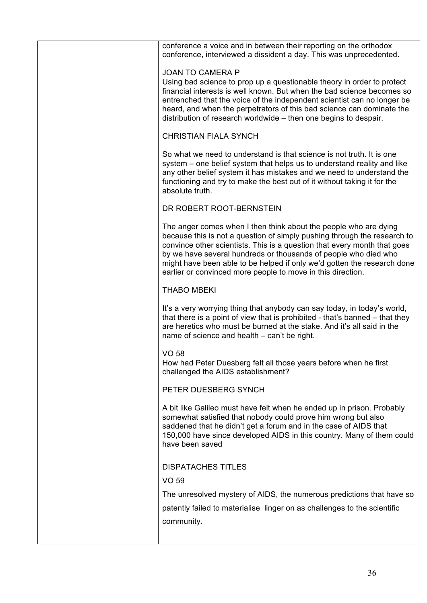| conference a voice and in between their reporting on the orthodox<br>conference, interviewed a dissident a day. This was unprecedented.                                                                                                                                                                                                                                                                                               |
|---------------------------------------------------------------------------------------------------------------------------------------------------------------------------------------------------------------------------------------------------------------------------------------------------------------------------------------------------------------------------------------------------------------------------------------|
| <b>JOAN TO CAMERA P</b><br>Using bad science to prop up a questionable theory in order to protect<br>financial interests is well known. But when the bad science becomes so<br>entrenched that the voice of the independent scientist can no longer be<br>heard, and when the perpetrators of this bad science can dominate the<br>distribution of research worldwide - then one begins to despair.                                   |
| <b>CHRISTIAN FIALA SYNCH</b>                                                                                                                                                                                                                                                                                                                                                                                                          |
| So what we need to understand is that science is not truth. It is one<br>system – one belief system that helps us to understand reality and like<br>any other belief system it has mistakes and we need to understand the<br>functioning and try to make the best out of it without taking it for the<br>absolute truth.                                                                                                              |
| DR ROBERT ROOT-BERNSTEIN                                                                                                                                                                                                                                                                                                                                                                                                              |
| The anger comes when I then think about the people who are dying<br>because this is not a question of simply pushing through the research to<br>convince other scientists. This is a question that every month that goes<br>by we have several hundreds or thousands of people who died who<br>might have been able to be helped if only we'd gotten the research done<br>earlier or convinced more people to move in this direction. |
| <b>THABO MBEKI</b>                                                                                                                                                                                                                                                                                                                                                                                                                    |
| It's a very worrying thing that anybody can say today, in today's world,<br>that there is a point of view that is prohibited - that's banned – that they<br>are heretics who must be burned at the stake. And it's all said in the<br>name of science and health – can't be right.                                                                                                                                                    |
| <b>VO 58</b><br>How had Peter Duesberg felt all those years before when he first<br>challenged the AIDS establishment?                                                                                                                                                                                                                                                                                                                |
| PETER DUESBERG SYNCH                                                                                                                                                                                                                                                                                                                                                                                                                  |
| A bit like Galileo must have felt when he ended up in prison. Probably<br>somewhat satisfied that nobody could prove him wrong but also<br>saddened that he didn't get a forum and in the case of AIDS that<br>150,000 have since developed AIDS in this country. Many of them could<br>have been saved                                                                                                                               |
| <b>DISPATACHES TITLES</b>                                                                                                                                                                                                                                                                                                                                                                                                             |
| VO 59                                                                                                                                                                                                                                                                                                                                                                                                                                 |
| The unresolved mystery of AIDS, the numerous predictions that have so                                                                                                                                                                                                                                                                                                                                                                 |
| patently failed to materialise linger on as challenges to the scientific<br>community.                                                                                                                                                                                                                                                                                                                                                |
|                                                                                                                                                                                                                                                                                                                                                                                                                                       |